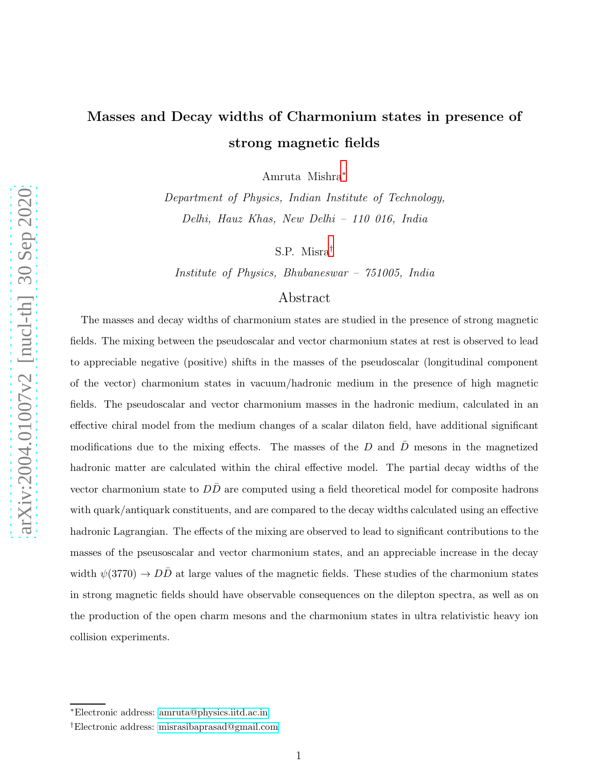# Masses and Decay widths of Charmonium states in presence of strong magnetic fields

Amruta Mishra[∗](#page-0-0)

Department of Physics, Indian Institute of Technology, Delhi, Hauz Khas, New Delhi – 110 016, India

S.P. Misra[†](#page-0-1)

Institute of Physics, Bhubaneswar – 751005, India

## Abstract

The masses and decay widths of charmonium states are studied in the presence of strong magnetic fields. The mixing between the pseudoscalar and vector charmonium states at rest is observed to lead to appreciable negative (positive) shifts in the masses of the pseudoscalar (longitudinal component of the vector) charmonium states in vacuum/hadronic medium in the presence of high magnetic fields. The pseudoscalar and vector charmonium masses in the hadronic medium, calculated in an effective chiral model from the medium changes of a scalar dilaton field, have additional significant modifications due to the mixing effects. The masses of the  $D$  and  $\overline{D}$  mesons in the magnetized hadronic matter are calculated within the chiral effective model. The partial decay widths of the vector charmonium state to  $DD$  are computed using a field theoretical model for composite hadrons with quark/antiquark constituents, and are compared to the decay widths calculated using an effective hadronic Lagrangian. The effects of the mixing are observed to lead to significant contributions to the masses of the pseusoscalar and vector charmonium states, and an appreciable increase in the decay width  $\psi(3770) \rightarrow D\overline{D}$  at large values of the magnetic fields. These studies of the charmonium states in strong magnetic fields should have observable consequences on the dilepton spectra, as well as on the production of the open charm mesons and the charmonium states in ultra relativistic heavy ion collision experiments.

<span id="page-0-1"></span><span id="page-0-0"></span><sup>∗</sup>Electronic address: [amruta@physics.iitd.ac.in](mailto:amruta@physics.iitd.ac.in)

<sup>†</sup>Electronic address: [misrasibaprasad@gmail.com](mailto:misrasibaprasad@gmail.com)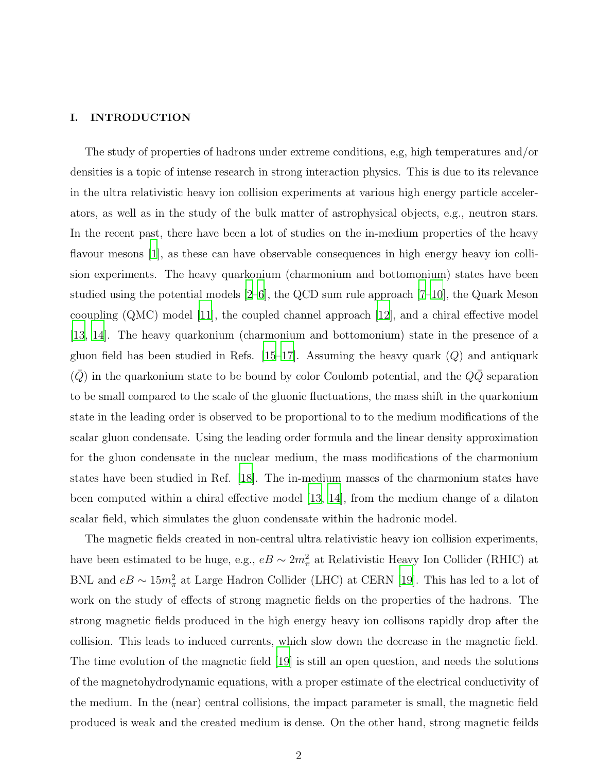#### I. INTRODUCTION

The study of properties of hadrons under extreme conditions, e,g, high temperatures and/or densities is a topic of intense research in strong interaction physics. This is due to its relevance in the ultra relativistic heavy ion collision experiments at various high energy particle accelerators, as well as in the study of the bulk matter of astrophysical objects, e.g., neutron stars. In the recent past, there have been a lot of studies on the in-medium properties of the heavy flavour mesons [\[1](#page-28-0)], as these can have observable consequences in high energy heavy ion collision experiments. The heavy quarkonium (charmonium and bottomonium) states have been studied using the potential models  $[2-6]$ , the QCD sum rule approach  $[7-10]$ , the Quark Meson cooupling (QMC) model [\[11\]](#page-28-5), the coupled channel approach [\[12\]](#page-28-6), and a chiral effective model [\[13,](#page-28-7) [14\]](#page-28-8). The heavy quarkonium (charmonium and bottomonium) state in the presence of a gluon field has been studied in Refs.  $[15-17]$ . Assuming the heavy quark  $(Q)$  and antiquark  $(\bar{Q})$  in the quarkonium state to be bound by color Coulomb potential, and the  $Q\bar{Q}$  separation to be small compared to the scale of the gluonic fluctuations, the mass shift in the quarkonium state in the leading order is observed to be proportional to to the medium modifications of the scalar gluon condensate. Using the leading order formula and the linear density approximation for the gluon condensate in the nuclear medium, the mass modifications of the charmonium states have been studied in Ref. [\[18\]](#page-28-11). The in-medium masses of the charmonium states have been computed within a chiral effective model [\[13,](#page-28-7) [14\]](#page-28-8), from the medium change of a dilaton scalar field, which simulates the gluon condensate within the hadronic model.

The magnetic fields created in non-central ultra relativistic heavy ion collision experiments, have been estimated to be huge, e.g.,  $eB \sim 2m_{\pi}^2$  at Relativistic Heavy Ion Collider (RHIC) at BNL and  $eB \sim 15m_{\pi}^2$  at Large Hadron Collider (LHC) at CERN [\[19](#page-28-12)]. This has led to a lot of work on the study of effects of strong magnetic fields on the properties of the hadrons. The strong magnetic fields produced in the high energy heavy ion collisons rapidly drop after the collision. This leads to induced currents, which slow down the decrease in the magnetic field. The time evolution of the magnetic field [\[19](#page-28-12)] is still an open question, and needs the solutions of the magnetohydrodynamic equations, with a proper estimate of the electrical conductivity of the medium. In the (near) central collisions, the impact parameter is small, the magnetic field produced is weak and the created medium is dense. On the other hand, strong magnetic feilds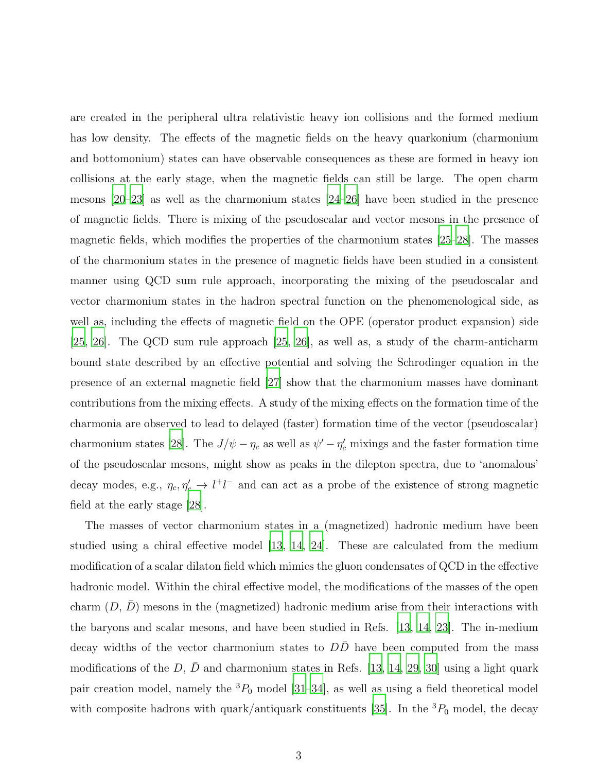are created in the peripheral ultra relativistic heavy ion collisions and the formed medium has low density. The effects of the magnetic fields on the heavy quarkonium (charmonium and bottomonium) states can have observable consequences as these are formed in heavy ion collisions at the early stage, when the magnetic fields can still be large. The open charm mesons [\[20](#page-29-0)[–23](#page-29-1)] as well as the charmonium states [\[24](#page-29-2)[–26](#page-29-3)] have been studied in the presence of magnetic fields. There is mixing of the pseudoscalar and vector mesons in the presence of magnetic fields, which modifies the properties of the charmonium states [\[25](#page-29-4)[–28](#page-29-5)]. The masses of the charmonium states in the presence of magnetic fields have been studied in a consistent manner using QCD sum rule approach, incorporating the mixing of the pseudoscalar and vector charmonium states in the hadron spectral function on the phenomenological side, as well as, including the effects of magnetic field on the OPE (operator product expansion) side [\[25,](#page-29-4) [26\]](#page-29-3). The QCD sum rule approach [\[25](#page-29-4), [26\]](#page-29-3), as well as, a study of the charm-anticharm bound state described by an effective potential and solving the Schrodinger equation in the presence of an external magnetic field [\[27\]](#page-29-6) show that the charmonium masses have dominant contributions from the mixing effects. A study of the mixing effects on the formation time of the charmonia are observed to lead to delayed (faster) formation time of the vector (pseudoscalar) charmonium states [\[28\]](#page-29-5). The  $J/\psi - \eta_c$  as well as  $\psi' - \eta_c'$  mixings and the faster formation time of the pseudoscalar mesons, might show as peaks in the dilepton spectra, due to 'anomalous' decay modes, e.g.,  $\eta_c, \eta_c' \to l^+l^-$  and can act as a probe of the existence of strong magnetic field at the early stage [\[28\]](#page-29-5).

The masses of vector charmonium states in a (magnetized) hadronic medium have been studied using a chiral effective model [\[13,](#page-28-7) [14](#page-28-8), [24\]](#page-29-2). These are calculated from the medium modification of a scalar dilaton field which mimics the gluon condensates of QCD in the effective hadronic model. Within the chiral effective model, the modifications of the masses of the open charm  $(D, D)$  mesons in the (magnetized) hadronic medium arise from their interactions with the baryons and scalar mesons, and have been studied in Refs. [\[13,](#page-28-7) [14](#page-28-8), [23\]](#page-29-1). The in-medium decay widths of the vector charmonium states to  $D\overline{D}$  have been computed from the mass modifications of the D,  $\bar{D}$  and charmonium states in Refs. [\[13,](#page-28-7) [14,](#page-28-8) [29,](#page-29-7) [30](#page-29-8)] using a light quark pair creation model, namely the  ${}^{3}P_0$  model [\[31](#page-29-9)[–34](#page-29-10)], as well as using a field theoretical model with composite hadrons with quark/antiquark constituents [\[35](#page-29-11)]. In the  ${}^{3}P_{0}$  model, the decay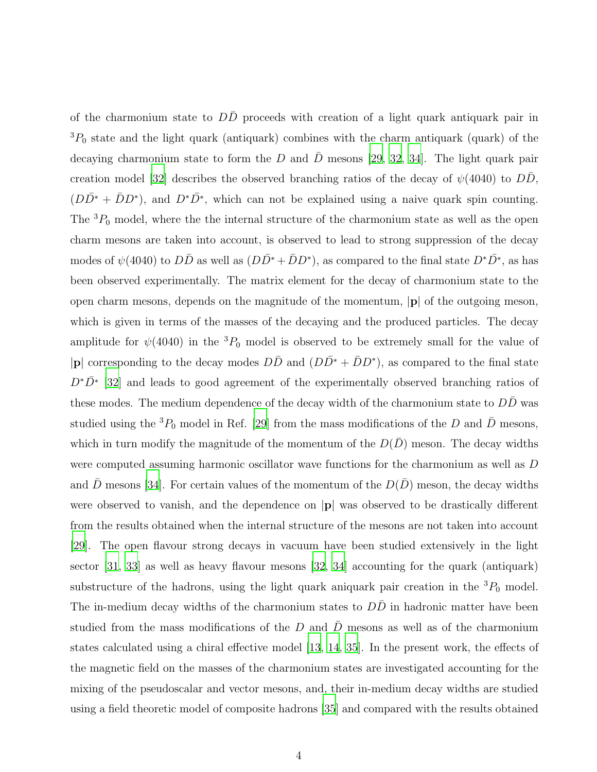of the charmonium state to  $D\overline{D}$  proceeds with creation of a light quark antiquark pair in  ${}^{3}P_{0}$  state and the light quark (antiquark) combines with the charm antiquark (quark) of the decaying charmonium state to form the D and  $\bar{D}$  mesons [\[29](#page-29-7), [32,](#page-29-12) [34\]](#page-29-10). The light quark pair creation model [\[32](#page-29-12)] describes the observed branching ratios of the decay of  $\psi(4040)$  to  $D\bar{D}$ ,  $(D\bar{D}^* + \bar{D}D^*)$ , and  $D^*\bar{D}^*$ , which can not be explained using a naive quark spin counting. The  ${}^{3}P_{0}$  model, where the the internal structure of the charmonium state as well as the open charm mesons are taken into account, is observed to lead to strong suppression of the decay modes of  $\psi(4040)$  to  $D\bar{D}$  as well as  $(D\bar{D}^* + \bar{D}D^*)$ , as compared to the final state  $D^*\bar{D}^*$ , as has been observed experimentally. The matrix element for the decay of charmonium state to the open charm mesons, depends on the magnitude of the momentum,  $|\mathbf{p}|$  of the outgoing meson, which is given in terms of the masses of the decaying and the produced particles. The decay amplitude for  $\psi(4040)$  in the <sup>3</sup> $P_0$  model is observed to be extremely small for the value of |p| corresponding to the decay modes  $D\bar{D}$  and  $(D\bar{D}^* + \bar{D}D^*)$ , as compared to the final state  $D^{\ast}\bar{D^{\ast}}$  [\[32\]](#page-29-12) and leads to good agreement of the experimentally observed branching ratios of these modes. The medium dependence of the decay width of the charmonium state to  $D\bar{D}$  was studied using the <sup>3</sup> $P_0$  model in Ref. [\[29\]](#page-29-7) from the mass modifications of the D and  $\bar{D}$  mesons, which in turn modify the magnitude of the momentum of the  $D(\bar{D})$  meson. The decay widths were computed assuming harmonic oscillator wave functions for the charmonium as well as D and D mesons [\[34](#page-29-10)]. For certain values of the momentum of the  $D(D)$  meson, the decay widths were observed to vanish, and the dependence on |p| was observed to be drastically different from the results obtained when the internal structure of the mesons are not taken into account [\[29](#page-29-7)]. The open flavour strong decays in vacuum have been studied extensively in the light sector [\[31,](#page-29-9) [33](#page-29-13)] as well as heavy flavour mesons [\[32,](#page-29-12) [34](#page-29-10)] accounting for the quark (antiquark) substructure of the hadrons, using the light quark aniquark pair creation in the  ${}^{3}P_0$  model. The in-medium decay widths of the charmonium states to  $D\overline{D}$  in hadronic matter have been studied from the mass modifications of the D and  $\bar{D}$  mesons as well as of the charmonium states calculated using a chiral effective model [\[13](#page-28-7), [14](#page-28-8), [35](#page-29-11)]. In the present work, the effects of the magnetic field on the masses of the charmonium states are investigated accounting for the mixing of the pseudoscalar and vector mesons, and, their in-medium decay widths are studied using a field theoretic model of composite hadrons [\[35](#page-29-11)] and compared with the results obtained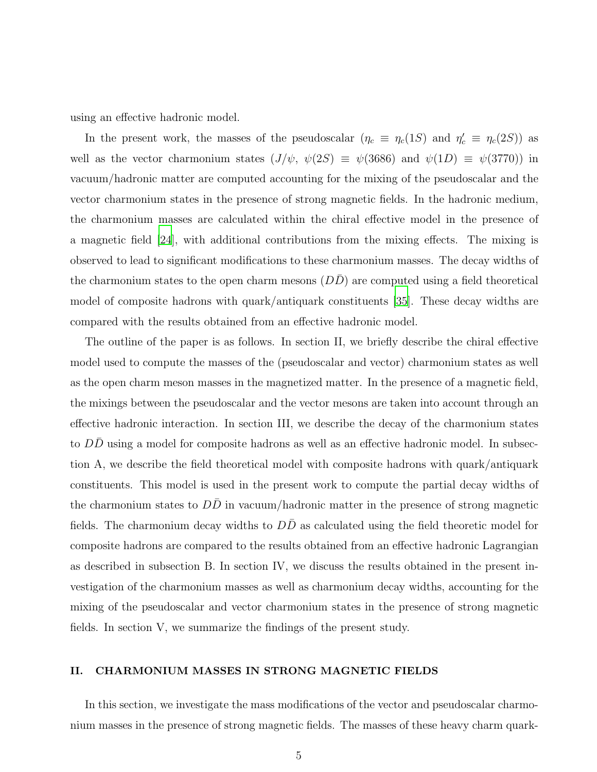using an effective hadronic model.

In the present work, the masses of the pseudoscalar  $(\eta_c \equiv \eta_c(1S)$  and  $\eta_c' \equiv \eta_c(2S)$  as well as the vector charmonium states  $(J/\psi, \psi(2S) \equiv \psi(3686)$  and  $\psi(1D) \equiv \psi(3770)$  in vacuum/hadronic matter are computed accounting for the mixing of the pseudoscalar and the vector charmonium states in the presence of strong magnetic fields. In the hadronic medium, the charmonium masses are calculated within the chiral effective model in the presence of a magnetic field [\[24](#page-29-2)], with additional contributions from the mixing effects. The mixing is observed to lead to significant modifications to these charmonium masses. The decay widths of the charmonium states to the open charm mesons  $(DD)$  are computed using a field theoretical model of composite hadrons with quark/antiquark constituents [\[35](#page-29-11)]. These decay widths are compared with the results obtained from an effective hadronic model.

The outline of the paper is as follows. In section II, we briefly describe the chiral effective model used to compute the masses of the (pseudoscalar and vector) charmonium states as well as the open charm meson masses in the magnetized matter. In the presence of a magnetic field, the mixings between the pseudoscalar and the vector mesons are taken into account through an effective hadronic interaction. In section III, we describe the decay of the charmonium states to  $DD$  using a model for composite hadrons as well as an effective hadronic model. In subsection A, we describe the field theoretical model with composite hadrons with quark/antiquark constituents. This model is used in the present work to compute the partial decay widths of the charmonium states to  $D\overline{D}$  in vacuum/hadronic matter in the presence of strong magnetic fields. The charmonium decay widths to  $D\overline{D}$  as calculated using the field theoretic model for composite hadrons are compared to the results obtained from an effective hadronic Lagrangian as described in subsection B. In section IV, we discuss the results obtained in the present investigation of the charmonium masses as well as charmonium decay widths, accounting for the mixing of the pseudoscalar and vector charmonium states in the presence of strong magnetic fields. In section V, we summarize the findings of the present study.

#### II. CHARMONIUM MASSES IN STRONG MAGNETIC FIELDS

In this section, we investigate the mass modifications of the vector and pseudoscalar charmonium masses in the presence of strong magnetic fields. The masses of these heavy charm quark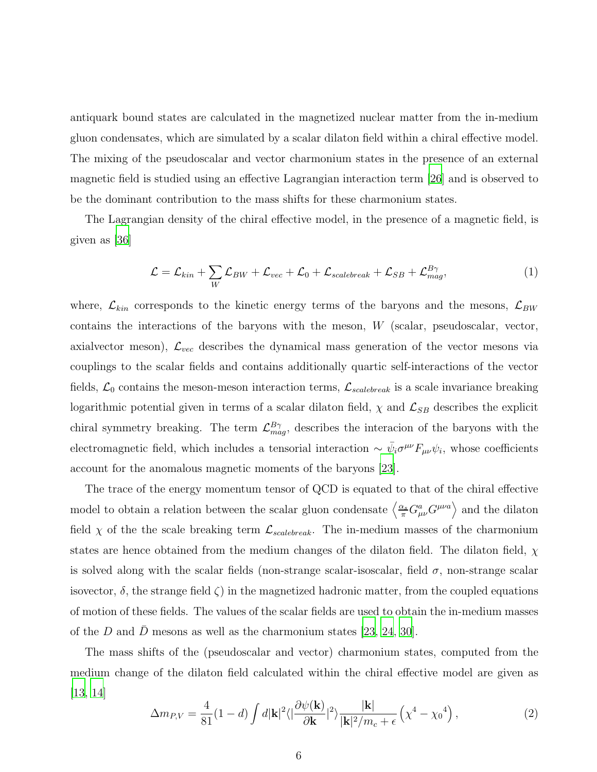antiquark bound states are calculated in the magnetized nuclear matter from the in-medium gluon condensates, which are simulated by a scalar dilaton field within a chiral effective model. The mixing of the pseudoscalar and vector charmonium states in the presence of an external magnetic field is studied using an effective Lagrangian interaction term [\[26](#page-29-3)] and is observed to be the dominant contribution to the mass shifts for these charmonium states.

The Lagrangian density of the chiral effective model, in the presence of a magnetic field, is given as [\[36\]](#page-29-14)

$$
\mathcal{L} = \mathcal{L}_{kin} + \sum_{W} \mathcal{L}_{BW} + \mathcal{L}_{vec} + \mathcal{L}_0 + \mathcal{L}_{scalebreak} + \mathcal{L}_{SB} + \mathcal{L}_{mag}^{B\gamma},\tag{1}
$$

where,  $\mathcal{L}_{kin}$  corresponds to the kinetic energy terms of the baryons and the mesons,  $\mathcal{L}_{BW}$ contains the interactions of the baryons with the meson,  $W$  (scalar, pseudoscalar, vector, axialvector meson),  $\mathcal{L}_{vec}$  describes the dynamical mass generation of the vector mesons via couplings to the scalar fields and contains additionally quartic self-interactions of the vector fields,  $\mathcal{L}_0$  contains the meson-meson interaction terms,  $\mathcal{L}_{scalebreak}$  is a scale invariance breaking logarithmic potential given in terms of a scalar dilaton field,  $\chi$  and  $\mathcal{L}_{SB}$  describes the explicit chiral symmetry breaking. The term  $\mathcal{L}_{mag}^{B\gamma}$ , describes the interacion of the baryons with the electromagnetic field, which includes a tensorial interaction  $\sim \bar{\psi}_i \sigma^{\mu\nu} F_{\mu\nu} \psi_i$ , whose coefficients account for the anomalous magnetic moments of the baryons [\[23](#page-29-1)].

The trace of the energy momentum tensor of QCD is equated to that of the chiral effective model to obtain a relation between the scalar gluon condensate  $\left\langle \frac{\alpha_s}{\pi} G^a_{\mu\nu} G^{\mu\nu a} \right\rangle$  and the dilaton field  $\chi$  of the the scale breaking term  $\mathcal{L}_{scalebreak}$ . The in-medium masses of the charmonium states are hence obtained from the medium changes of the dilaton field. The dilaton field,  $\chi$ is solved along with the scalar fields (non-strange scalar-isoscalar, field  $\sigma$ , non-strange scalar isovector,  $\delta$ , the strange field  $\zeta$ ) in the magnetized hadronic matter, from the coupled equations of motion of these fields. The values of the scalar fields are used to obtain the in-medium masses of the D and  $\bar{D}$  mesons as well as the charmonium states [\[23,](#page-29-1) [24,](#page-29-2) [30\]](#page-29-8).

The mass shifts of the (pseudoscalar and vector) charmonium states, computed from the medium change of the dilaton field calculated within the chiral effective model are given as [\[13,](#page-28-7) [14\]](#page-28-8)

<span id="page-5-0"></span>
$$
\Delta m_{P,V} = \frac{4}{81} (1-d) \int d|\mathbf{k}|^2 \langle |\frac{\partial \psi(\mathbf{k})}{\partial \mathbf{k}}|^2 \rangle \frac{|\mathbf{k}|}{|\mathbf{k}|^2 / m_c + \epsilon} \left( \chi^4 - {\chi_0}^4 \right), \tag{2}
$$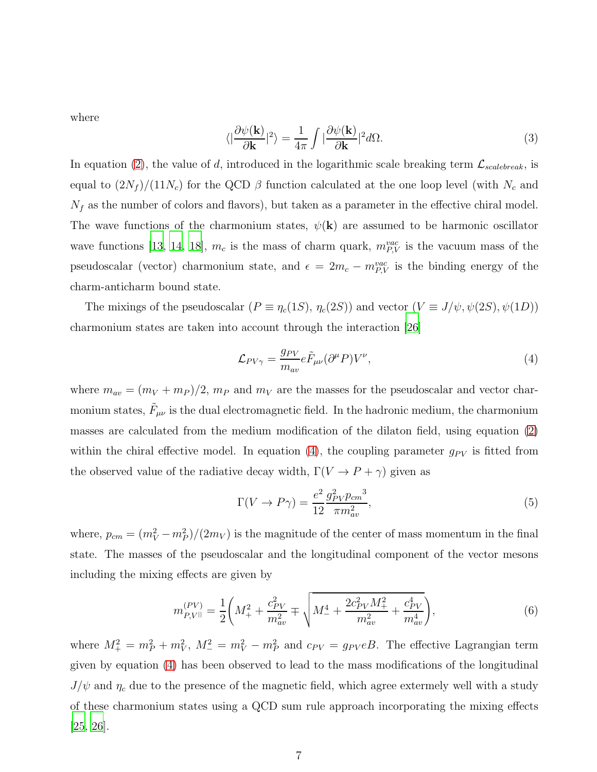where

$$
\langle |\frac{\partial \psi(\mathbf{k})}{\partial \mathbf{k}}|^2 \rangle = \frac{1}{4\pi} \int |\frac{\partial \psi(\mathbf{k})}{\partial \mathbf{k}}|^2 d\Omega.
$$
 (3)

In equation [\(2\)](#page-5-0), the value of d, introduced in the logarithmic scale breaking term  $\mathcal{L}_{scalebreak}$ , is equal to  $(2N_f)/(11N_c)$  for the QCD  $\beta$  function calculated at the one loop level (with  $N_c$  and  $N_f$  as the number of colors and flavors), but taken as a parameter in the effective chiral model. The wave functions of the charmonium states,  $\psi(\mathbf{k})$  are assumed to be harmonic oscillator wave functions [\[13](#page-28-7), [14,](#page-28-8) [18](#page-28-11)],  $m_c$  is the mass of charm quark,  $m_{P,V}^{vac}$  is the vacuum mass of the pseudoscalar (vector) charmonium state, and  $\epsilon = 2m_c - m_{P,V}^{vac}$  is the binding energy of the charm-anticharm bound state.

The mixings of the pseudoscalar  $(P \equiv \eta_c(1S), \eta_c(2S))$  and vector  $(V \equiv J/\psi, \psi(2S), \psi(1D))$ charmonium states are taken into account through the interaction [\[26](#page-29-3)]

<span id="page-6-0"></span>
$$
\mathcal{L}_{PV\gamma} = \frac{g_{PV}}{m_{av}} e \tilde{F}_{\mu\nu} (\partial^{\mu} P) V^{\nu}, \qquad (4)
$$

where  $m_{av} = (m_V + m_P)/2$ ,  $m_P$  and  $m_V$  are the masses for the pseudoscalar and vector charmonium states,  $\tilde{F}_{\mu\nu}$  is the dual electromagnetic field. In the hadronic medium, the charmonium masses are calculated from the medium modification of the dilaton field, using equation [\(2\)](#page-5-0) within the chiral effective model. In equation [\(4\)](#page-6-0), the coupling parameter  $g_{PV}$  is fitted from the observed value of the radiative decay width,  $\Gamma(V \to P + \gamma)$  given as

<span id="page-6-2"></span>
$$
\Gamma(V \to P\gamma) = \frac{e^2}{12} \frac{g_{PV}^2 p_{cm}^3}{\pi m_{av}^2},\tag{5}
$$

where,  $p_{cm} = (m_V^2 - m_P^2)/(2m_V)$  is the magnitude of the center of mass momentum in the final state. The masses of the pseudoscalar and the longitudinal component of the vector mesons including the mixing effects are given by

<span id="page-6-1"></span>
$$
m_{P,V||}^{(PV)} = \frac{1}{2} \left( M_+^2 + \frac{c_{PV}^2}{m_{av}^2} \mp \sqrt{M_-^4 + \frac{2c_{PV}^2 M_+^2}{m_{av}^2} + \frac{c_{PV}^4}{m_{av}^4}} \right),\tag{6}
$$

where  $M_+^2 = m_P^2 + m_V^2$ ,  $M_-^2 = m_V^2 - m_P^2$  and  $c_{PV} = g_{PV}eB$ . The effective Lagrangian term given by equation [\(4\)](#page-6-0) has been observed to lead to the mass modifications of the longitudinal  $J/\psi$  and  $\eta_c$  due to the presence of the magnetic field, which agree extermely well with a study of these charmonium states using a QCD sum rule approach incorporating the mixing effects [\[25,](#page-29-4) [26\]](#page-29-3).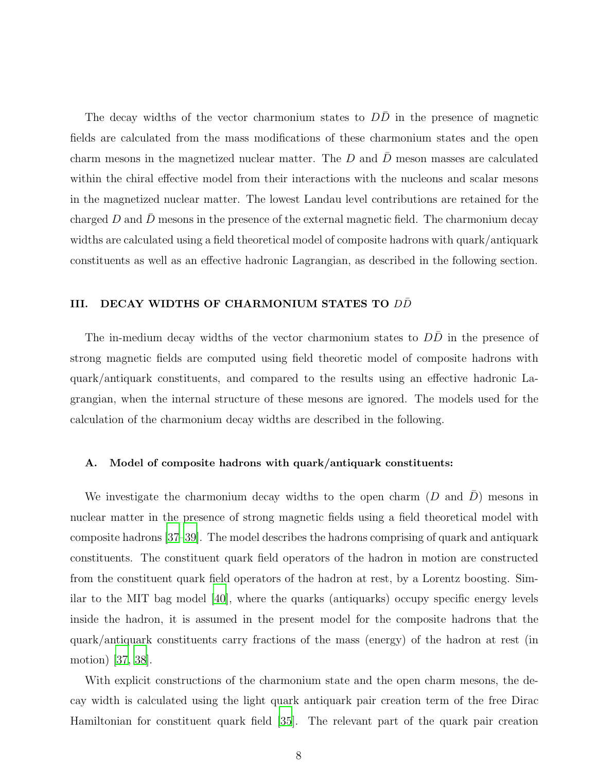The decay widths of the vector charmonium states to  $D\overline{D}$  in the presence of magnetic fields are calculated from the mass modifications of these charmonium states and the open charm mesons in the magnetized nuclear matter. The  $D$  and  $\overline{D}$  meson masses are calculated within the chiral effective model from their interactions with the nucleons and scalar mesons in the magnetized nuclear matter. The lowest Landau level contributions are retained for the charged D and  $\bar{D}$  mesons in the presence of the external magnetic field. The charmonium decay widths are calculated using a field theoretical model of composite hadrons with quark/antiquark constituents as well as an effective hadronic Lagrangian, as described in the following section.

#### III. DECAY WIDTHS OF CHARMONIUM STATES TO DD

The in-medium decay widths of the vector charmonium states to  $D\bar{D}$  in the presence of strong magnetic fields are computed using field theoretic model of composite hadrons with quark/antiquark constituents, and compared to the results using an effective hadronic Lagrangian, when the internal structure of these mesons are ignored. The models used for the calculation of the charmonium decay widths are described in the following.

#### <span id="page-7-0"></span>A. Model of composite hadrons with quark/antiquark constituents:

We investigate the charmonium decay widths to the open charm  $(D \text{ and } \overline{D})$  mesons in nuclear matter in the presence of strong magnetic fields using a field theoretical model with composite hadrons [\[37](#page-29-15)[–39](#page-29-16)]. The model describes the hadrons comprising of quark and antiquark constituents. The constituent quark field operators of the hadron in motion are constructed from the constituent quark field operators of the hadron at rest, by a Lorentz boosting. Similar to the MIT bag model [\[40\]](#page-29-17), where the quarks (antiquarks) occupy specific energy levels inside the hadron, it is assumed in the present model for the composite hadrons that the quark/antiquark constituents carry fractions of the mass (energy) of the hadron at rest (in motion) [\[37](#page-29-15), [38\]](#page-29-18).

With explicit constructions of the charmonium state and the open charm mesons, the decay width is calculated using the light quark antiquark pair creation term of the free Dirac Hamiltonian for constituent quark field [\[35\]](#page-29-11). The relevant part of the quark pair creation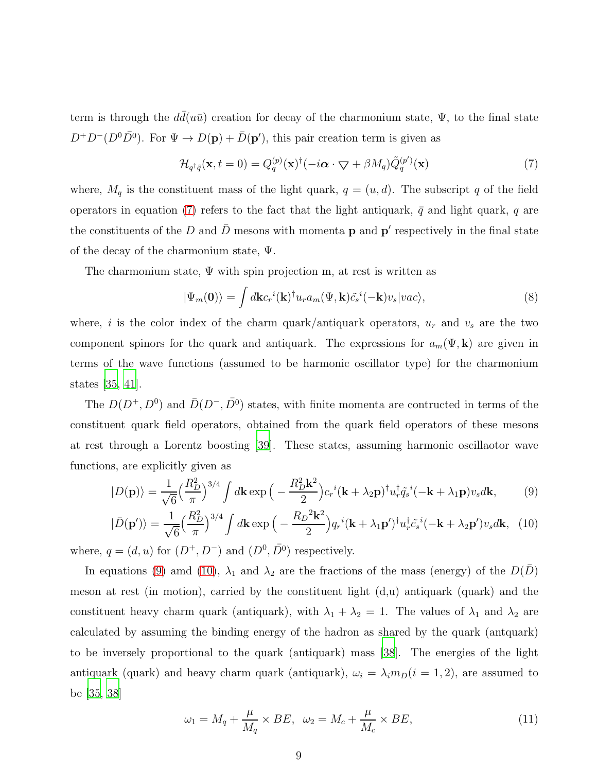term is through the  $d\bar{d}(u\bar{u})$  creation for decay of the charmonium state,  $\Psi$ , to the final state  $D^+D^-(D^0\bar{D}^0)$ . For  $\Psi \to D(\mathbf{p}) + \bar{D}(\mathbf{p}')$ , this pair creation term is given as

<span id="page-8-0"></span>
$$
\mathcal{H}_{q^{\dagger}\tilde{q}}(\mathbf{x},t=0) = Q_q^{(p)}(\mathbf{x})^{\dagger}(-i\boldsymbol{\alpha}\cdot\boldsymbol{\nabla} + \beta M_q)\tilde{Q}_q^{(p')}(\mathbf{x})
$$
\n(7)

where,  $M_q$  is the constituent mass of the light quark,  $q = (u, d)$ . The subscript q of the field operators in equation [\(7\)](#page-8-0) refers to the fact that the light antiquark,  $\bar{q}$  and light quark, q are the constituents of the D and  $\bar{D}$  mesons with momenta **p** and **p'** respectively in the final state of the decay of the charmonium state, Ψ.

The charmonium state,  $\Psi$  with spin projection m, at rest is written as

$$
|\Psi_m(\mathbf{0})\rangle = \int d\mathbf{k} c_r{}^i(\mathbf{k})^\dagger u_r a_m(\Psi, \mathbf{k}) \tilde{c}_s{}^i(-\mathbf{k}) v_s |vac\rangle, \tag{8}
$$

where, i is the color index of the charm quark/antiquark operators,  $u_r$  and  $v_s$  are the two component spinors for the quark and antiquark. The expressions for  $a_m(\Psi, \mathbf{k})$  are given in terms of the wave functions (assumed to be harmonic oscillator type) for the charmonium states [\[35](#page-29-11), [41](#page-29-19)].

The  $D(D^+, D^0)$  and  $\bar{D}(D^-, \bar{D}^0)$  states, with finite momenta are contructed in terms of the constituent quark field operators, obtained from the quark field operators of these mesons at rest through a Lorentz boosting [\[39](#page-29-16)]. These states, assuming harmonic oscillaotor wave functions, are explicitly given as

<span id="page-8-1"></span>
$$
|D(\mathbf{p})\rangle = \frac{1}{\sqrt{6}} \left(\frac{R_D^2}{\pi}\right)^{3/4} \int d\mathbf{k} \exp\Big(-\frac{R_D^2 \mathbf{k}^2}{2}\Big) c_r{}^i(\mathbf{k} + \lambda_2 \mathbf{p})^\dagger u_r^\dagger \tilde{q}_s{}^i(-\mathbf{k} + \lambda_1 \mathbf{p}) v_s d\mathbf{k},\tag{9}
$$

$$
|\bar{D}(\mathbf{p}')\rangle = \frac{1}{\sqrt{6}} \left(\frac{R_D^2}{\pi}\right)^{3/4} \int d\mathbf{k} \exp\Big(-\frac{R_D^2 \mathbf{k}^2}{2}\Big) q_r{}^i(\mathbf{k} + \lambda_1 \mathbf{p}')^\dagger u_r^\dagger \tilde{c}_s{}^i(-\mathbf{k} + \lambda_2 \mathbf{p}') v_s d\mathbf{k}, \tag{10}
$$

where,  $q = (d, u)$  for  $(D^+, D^-)$  and  $(D^0, \overline{D}{}^0)$  respectively.

In equations [\(9\)](#page-8-1) amd [\(10\)](#page-8-1),  $\lambda_1$  and  $\lambda_2$  are the fractions of the mass (energy) of the  $D(\overline{D})$ meson at rest (in motion), carried by the constituent light (d,u) antiquark (quark) and the constituent heavy charm quark (antiquark), with  $\lambda_1 + \lambda_2 = 1$ . The values of  $\lambda_1$  and  $\lambda_2$  are calculated by assuming the binding energy of the hadron as shared by the quark (antquark) to be inversely proportional to the quark (antiquark) mass [\[38](#page-29-18)]. The energies of the light antiquark (quark) and heavy charm quark (antiquark),  $\omega_i = \lambda_i m_D(i = 1, 2)$ , are assumed to be [\[35,](#page-29-11) [38\]](#page-29-18)

$$
\omega_1 = M_q + \frac{\mu}{M_q} \times BE, \quad \omega_2 = M_c + \frac{\mu}{M_c} \times BE,\tag{11}
$$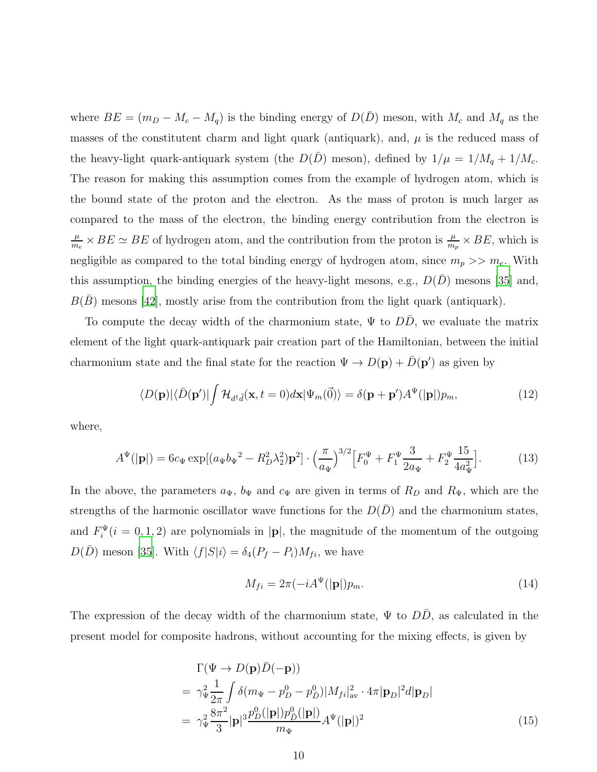where  $BE = (m_D - M_c - M_q)$  is the binding energy of  $D(\overline{D})$  meson, with  $M_c$  and  $M_q$  as the masses of the constitutent charm and light quark (antiquark), and,  $\mu$  is the reduced mass of the heavy-light quark-antiquark system (the  $D(\bar{D})$  meson), defined by  $1/\mu = 1/M_q + 1/M_c$ . The reason for making this assumption comes from the example of hydrogen atom, which is the bound state of the proton and the electron. As the mass of proton is much larger as compared to the mass of the electron, the binding energy contribution from the electron is  $\mu$  $\frac{\mu}{m_e} \times BE \simeq BE$  of hydrogen atom, and the contribution from the proton is  $\frac{\mu}{m_p} \times BE$ , which is negligible as compared to the total binding energy of hydrogen atom, since  $m_p >> m_e$ . With this assumption, the binding energies of the heavy-light mesons, e.g.,  $D(D)$  mesons [\[35\]](#page-29-11) and,  $B(B)$  mesons [\[42](#page-29-20)], mostly arise from the contribution from the light quark (antiquark).

To compute the decay width of the charmonium state,  $\Psi$  to  $DD$ , we evaluate the matrix element of the light quark-antiquark pair creation part of the Hamiltonian, between the initial charmonium state and the final state for the reaction  $\Psi \to D(\mathbf{p}) + \bar{D}(\mathbf{p}')$  as given by

$$
\langle D(\mathbf{p})|\langle \bar{D}(\mathbf{p}')|\int \mathcal{H}_{d^{\dagger}\tilde{d}}(\mathbf{x},t=0)d\mathbf{x}|\Psi_{m}(\vec{0})\rangle = \delta(\mathbf{p}+\mathbf{p}')A^{\Psi}(|\mathbf{p}|)p_{m},\tag{12}
$$

where,

<span id="page-9-0"></span>
$$
A^{\Psi}(|\mathbf{p}|) = 6c_{\Psi} \exp[(a_{\Psi}b_{\Psi}^2 - R_D^2 \lambda_2^2)\mathbf{p}^2] \cdot \left(\frac{\pi}{a_{\Psi}}\right)^{3/2} \left[F_0^{\Psi} + F_1^{\Psi} \frac{3}{2a_{\Psi}} + F_2^{\Psi} \frac{15}{4a_{\Psi}^2}\right].
$$
 (13)

In the above, the parameters  $a_{\Psi}$ ,  $b_{\Psi}$  and  $c_{\Psi}$  are given in terms of  $R_D$  and  $R_{\Psi}$ , which are the strengths of the harmonic oscillator wave functions for the  $D(\overline{D})$  and the charmonium states, and  $F_i^{\Psi}(i=0,1,2)$  are polynomials in |p|, the magnitude of the momentum of the outgoing  $D(\overline{D})$  meson [\[35\]](#page-29-11). With  $\langle f|S|i\rangle = \delta_4(P_f - P_i)M_{fi}$ , we have

$$
M_{fi} = 2\pi \left(-iA^{\Psi}(|\mathbf{p}|)p_m.\right) \tag{14}
$$

The expression of the decay width of the charmonium state,  $\Psi$  to DD, as calculated in the present model for composite hadrons, without accounting for the mixing effects, is given by

<span id="page-9-1"></span>
$$
\Gamma(\Psi \to D(\mathbf{p})\bar{D}(-\mathbf{p}))
$$
\n
$$
= \gamma_{\Psi}^{2} \frac{1}{2\pi} \int \delta(m_{\Psi} - p_{D}^{0} - p_{\bar{D}}^{0}) |M_{fi}|_{\text{av}}^{2} \cdot 4\pi |\mathbf{p}_{D}|^{2} d|\mathbf{p}_{D}|
$$
\n
$$
= \gamma_{\Psi}^{2} \frac{8\pi^{2}}{3} |\mathbf{p}|^{3} \frac{p_{D}^{0}(|\mathbf{p}|) p_{\bar{D}}^{0}(|\mathbf{p}|)}{m_{\Psi}} A^{\Psi}(|\mathbf{p}|)^{2}
$$
\n(15)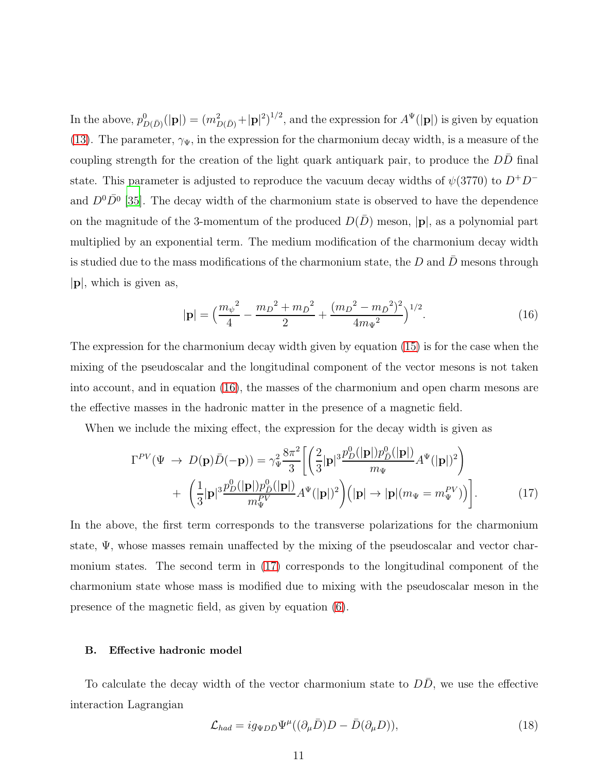In the above,  $p_{D(\bar{D})}^0(|{\bf p}|) = (m_{D(\bar{D})}^2 + |{\bf p}|^2)^{1/2}$ , and the expression for  $A^{\Psi}(|{\bf p}|)$  is given by equation [\(13\)](#page-9-0). The parameter,  $\gamma_{\Psi}$ , in the expression for the charmonium decay width, is a measure of the coupling strength for the creation of the light quark antiquark pair, to produce the  $D\bar{D}$  final state. This parameter is adjusted to reproduce the vacuum decay widths of  $\psi(3770)$  to  $D^+D^$ and  $D^0\overline{D}^0$  [\[35\]](#page-29-11). The decay width of the charmonium state is observed to have the dependence on the magnitude of the 3-momentum of the produced  $D(\overline{D})$  meson,  $|\mathbf{p}|$ , as a polynomial part multiplied by an exponential term. The medium modification of the charmonium decay width is studied due to the mass modifications of the charmonium state, the  $D$  and  $D$  mesons through |p|, which is given as,

<span id="page-10-0"></span>
$$
|\mathbf{p}| = \left(\frac{m_{\psi}^2}{4} - \frac{m_D^2 + m_{\bar{D}}^2}{2} + \frac{(m_D^2 - m_{\bar{D}}^2)^2}{4m_{\Psi}^2}\right)^{1/2}.
$$
 (16)

The expression for the charmonium decay width given by equation [\(15\)](#page-9-1) is for the case when the mixing of the pseudoscalar and the longitudinal component of the vector mesons is not taken into account, and in equation [\(16\)](#page-10-0), the masses of the charmonium and open charm mesons are the effective masses in the hadronic matter in the presence of a magnetic field.

When we include the mixing effect, the expression for the decay width is given as

<span id="page-10-1"></span>
$$
\Gamma^{PV}(\Psi \rightarrow D(\mathbf{p})\bar{D}(-\mathbf{p})) = \gamma_{\Psi}^2 \frac{8\pi^2}{3} \left[ \left( \frac{2}{3} |\mathbf{p}|^3 \frac{p_D^0(|\mathbf{p}|) p_{\bar{D}}^0(|\mathbf{p}|)}{m_{\Psi}} A^{\Psi}(|\mathbf{p}|)^2 \right) \right. \\ \left. + \left. \left( \frac{1}{3} |\mathbf{p}|^3 \frac{p_D^0(|\mathbf{p}|) p_{\bar{D}}^0(|\mathbf{p}|)}{m_{\Psi}^{PV}} A^{\Psi}(|\mathbf{p}|)^2 \right) (|\mathbf{p}| \rightarrow |\mathbf{p}| (m_{\Psi} = m_{\Psi}^{PV}) \right) \right]. \tag{17}
$$

In the above, the first term corresponds to the transverse polarizations for the charmonium state, Ψ, whose masses remain unaffected by the mixing of the pseudoscalar and vector charmonium states. The second term in [\(17\)](#page-10-1) corresponds to the longitudinal component of the charmonium state whose mass is modified due to mixing with the pseudoscalar meson in the presence of the magnetic field, as given by equation [\(6\)](#page-6-1).

#### B. Effective hadronic model

To calculate the decay width of the vector charmonium state to  $D\bar{D}$ , we use the effective interaction Lagrangian

<span id="page-10-2"></span>
$$
\mathcal{L}_{had} = ig_{\Psi D\bar{D}} \Psi^{\mu} ((\partial_{\mu} \bar{D})D - \bar{D}(\partial_{\mu} D)), \qquad (18)
$$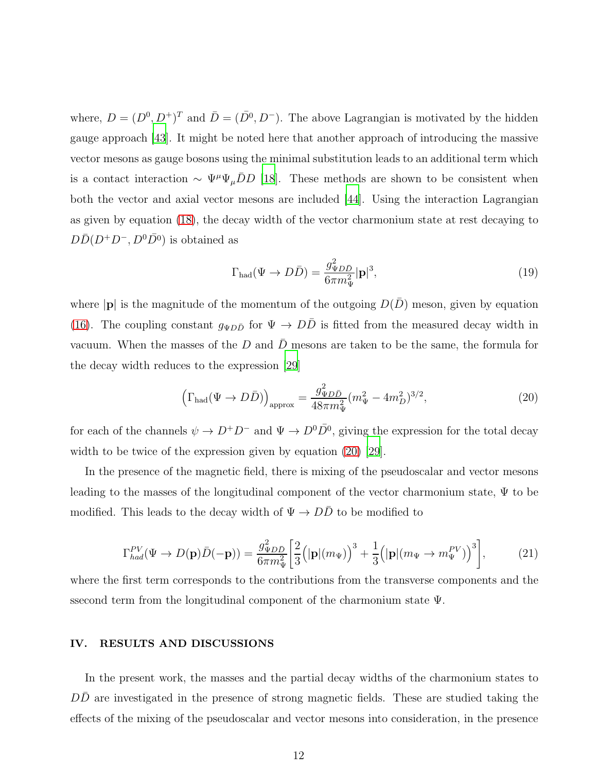where,  $D = (D^0, D^+)^T$  and  $\overline{D} = (\overline{D}^0, D^-)$ . The above Lagrangian is motivated by the hidden gauge approach [\[43](#page-30-0)]. It might be noted here that another approach of introducing the massive vector mesons as gauge bosons using the minimal substitution leads to an additional term which is a contact interaction  $\sim \Psi^{\mu} \Psi_{\mu} \bar{D} D$  [\[18](#page-28-11)]. These methods are shown to be consistent when both the vector and axial vector mesons are included [\[44\]](#page-30-1). Using the interaction Lagrangian as given by equation [\(18\)](#page-10-2), the decay width of the vector charmonium state at rest decaying to  $D\bar{D}(D^+D^-,D^0\bar{D^0})$  is obtained as

<span id="page-11-1"></span>
$$
\Gamma_{\text{had}}(\Psi \to D\bar{D}) = \frac{g_{\Psi D\bar{D}}^2}{6\pi m_{\Psi}^2} |\mathbf{p}|^3,
$$
\n(19)

where  $|\mathbf{p}|$  is the magnitude of the momentum of the outgoing  $D(\bar{D})$  meson, given by equation [\(16\)](#page-10-0). The coupling constant  $g_{\Psi D\bar{D}}$  for  $\Psi \to D\bar{D}$  is fitted from the measured decay width in vacuum. When the masses of the D and  $\bar{D}$  mesons are taken to be the same, the formula for the decay width reduces to the expression [\[29](#page-29-7)]

<span id="page-11-0"></span>
$$
\left(\Gamma_{\text{had}}(\Psi \to D\bar{D})\right)_{\text{approx}} = \frac{g_{\Psi D\bar{D}}^2}{48\pi m_{\Psi}^2} (m_{\Psi}^2 - 4m_D^2)^{3/2},\tag{20}
$$

for each of the channels  $\psi \to D^+D^-$  and  $\Psi \to D^0\bar{D^0}$ , giving the expression for the total decay width to be twice of the expression given by equation [\(20\)](#page-11-0) [\[29\]](#page-29-7).

In the presence of the magnetic field, there is mixing of the pseudoscalar and vector mesons leading to the masses of the longitudinal component of the vector charmonium state, Ψ to be modified. This leads to the decay width of  $\Psi \to D\bar{D}$  to be modified to

<span id="page-11-2"></span>
$$
\Gamma_{had}^{PV}(\Psi \to D(\mathbf{p})\bar{D}(-\mathbf{p})) = \frac{g_{\Psi D\bar{D}}^2}{6\pi m_{\Psi}^2} \left[ \frac{2}{3} \left( |\mathbf{p}| (m_{\Psi}) \right)^3 + \frac{1}{3} \left( |\mathbf{p}| (m_{\Psi} \to m_{\Psi}^{PV}) \right)^3 \right],\tag{21}
$$

where the first term corresponds to the contributions from the transverse components and the ssecond term from the longitudinal component of the charmonium state Ψ.

### IV. RESULTS AND DISCUSSIONS

In the present work, the masses and the partial decay widths of the charmonium states to  $D\overline{D}$  are investigated in the presence of strong magnetic fields. These are studied taking the effects of the mixing of the pseudoscalar and vector mesons into consideration, in the presence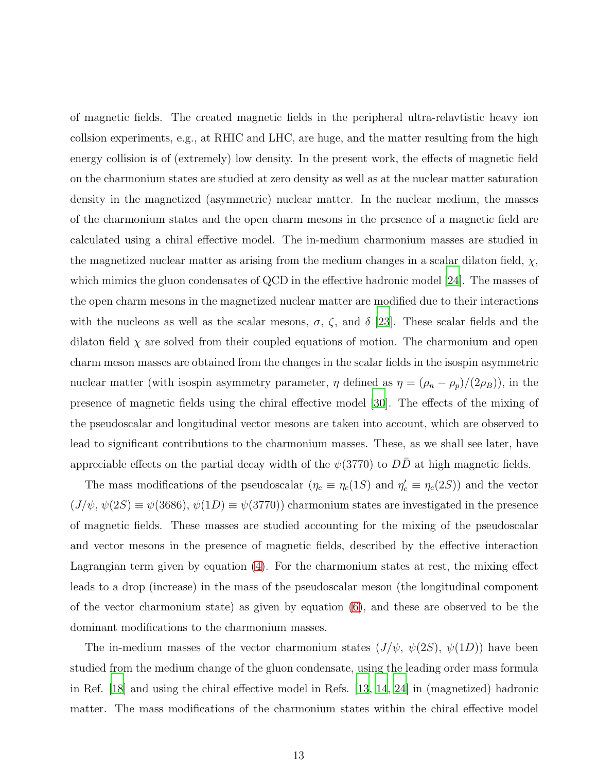of magnetic fields. The created magnetic fields in the peripheral ultra-relavtistic heavy ion collsion experiments, e.g., at RHIC and LHC, are huge, and the matter resulting from the high energy collision is of (extremely) low density. In the present work, the effects of magnetic field on the charmonium states are studied at zero density as well as at the nuclear matter saturation density in the magnetized (asymmetric) nuclear matter. In the nuclear medium, the masses of the charmonium states and the open charm mesons in the presence of a magnetic field are calculated using a chiral effective model. The in-medium charmonium masses are studied in the magnetized nuclear matter as arising from the medium changes in a scalar dilaton field,  $\chi$ , which mimics the gluon condensates of QCD in the effective hadronic model [\[24\]](#page-29-2). The masses of the open charm mesons in the magnetized nuclear matter are modified due to their interactions with the nucleons as well as the scalar mesons,  $\sigma$ ,  $\zeta$ , and  $\delta$  [\[23\]](#page-29-1). These scalar fields and the dilaton field  $\chi$  are solved from their coupled equations of motion. The charmonium and open charm meson masses are obtained from the changes in the scalar fields in the isospin asymmetric nuclear matter (with isospin asymmetry parameter,  $\eta$  defined as  $\eta = (\rho_n - \rho_p)/(2\rho_B)$ ), in the presence of magnetic fields using the chiral effective model [\[30](#page-29-8)]. The effects of the mixing of the pseudoscalar and longitudinal vector mesons are taken into account, which are observed to lead to significant contributions to the charmonium masses. These, as we shall see later, have appreciable effects on the partial decay width of the  $\psi(3770)$  to DD at high magnetic fields.

The mass modifications of the pseudoscalar  $(\eta_c \equiv \eta_c(1S)$  and  $\eta_c' \equiv \eta_c(2S))$  and the vector  $(J/\psi, \psi(2S) \equiv \psi(3686), \psi(1D) \equiv \psi(3770)$  charmonium states are investigated in the presence of magnetic fields. These masses are studied accounting for the mixing of the pseudoscalar and vector mesons in the presence of magnetic fields, described by the effective interaction Lagrangian term given by equation [\(4\)](#page-6-0). For the charmonium states at rest, the mixing effect leads to a drop (increase) in the mass of the pseudoscalar meson (the longitudinal component of the vector charmonium state) as given by equation [\(6\)](#page-6-1), and these are observed to be the dominant modifications to the charmonium masses.

The in-medium masses of the vector charmonium states  $(J/\psi, \psi(2S), \psi(1D))$  have been studied from the medium change of the gluon condensate, using the leading order mass formula in Ref. [\[18\]](#page-28-11) and using the chiral effective model in Refs. [\[13,](#page-28-7) [14,](#page-28-8) [24\]](#page-29-2) in (magnetized) hadronic matter. The mass modifications of the charmonium states within the chiral effective model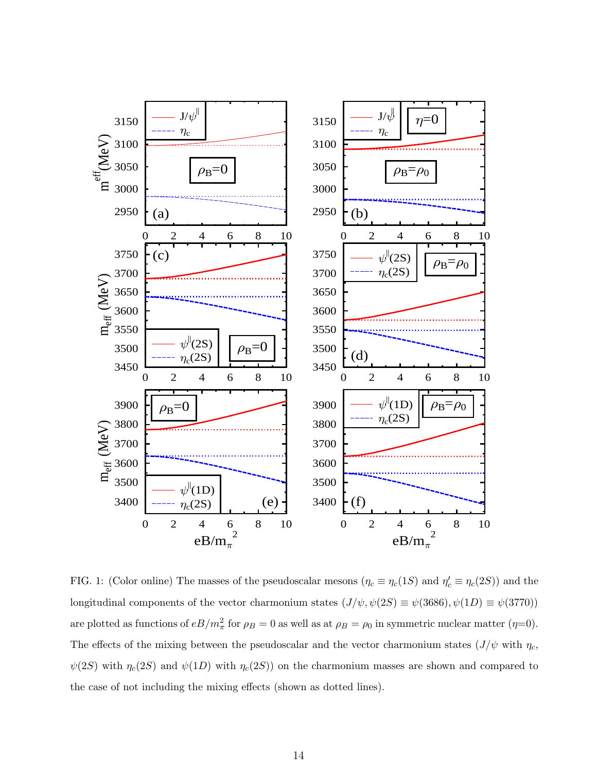

<span id="page-13-0"></span>FIG. 1: (Color online) The masses of the pseudoscalar mesons  $(\eta_c \equiv \eta_c(1S)$  and  $\eta_c' \equiv \eta_c(2S))$  and the longitudinal components of the vector charmonium states  $(J/\psi, \psi(2S) \equiv \psi(3686), \psi(1D) \equiv \psi(3770)$ are plotted as functions of  $eB/m_{\pi}^2$  for  $\rho_B = 0$  as well as at  $\rho_B = \rho_0$  in symmetric nuclear matter  $(\eta=0)$ . The effects of the mixing between the pseudoscalar and the vector charmonium states  $(J/\psi \text{ with } \eta_c)$ ,  $\psi(2S)$  with  $\eta_c(2S)$  and  $\psi(1D)$  with  $\eta_c(2S)$  on the charmonium masses are shown and compared to the case of not including the mixing effects (shown as dotted lines).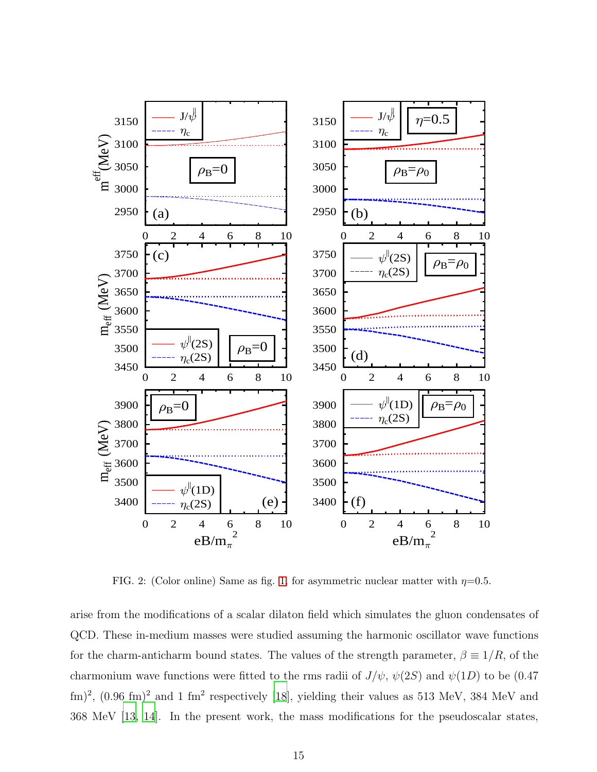

<span id="page-14-0"></span>FIG. 2: (Color online) Same as fig. [1,](#page-13-0) for asymmetric nuclear matter with  $\eta=0.5$ .

arise from the modifications of a scalar dilaton field which simulates the gluon condensates of QCD. These in-medium masses were studied assuming the harmonic oscillator wave functions for the charm-anticharm bound states. The values of the strength parameter,  $\beta \equiv 1/R$ , of the charmonium wave functions were fitted to the rms radii of  $J/\psi$ ,  $\psi(2S)$  and  $\psi(1D)$  to be (0.47)  $\text{fm})^2$ ,  $(0.96 \text{ fm})^2$  and 1 fm<sup>2</sup> respectively [\[18](#page-28-11)], yielding their values as 513 MeV, 384 MeV and 368 MeV [\[13](#page-28-7), [14](#page-28-8)]. In the present work, the mass modifications for the pseudoscalar states,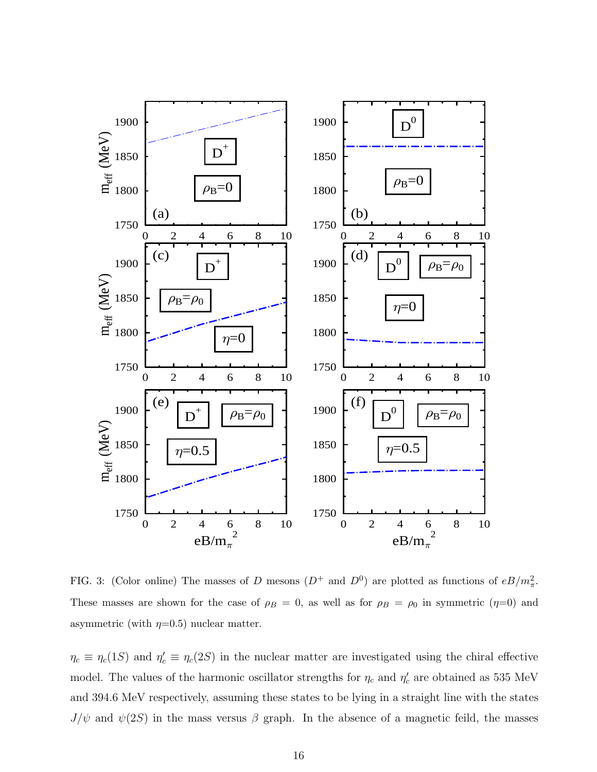

<span id="page-15-0"></span>FIG. 3: (Color online) The masses of D mesons  $(D^+$  and  $D^0$ ) are plotted as functions of  $eB/m_\pi^2$ . These masses are shown for the case of  $\rho_B = 0$ , as well as for  $\rho_B = \rho_0$  in symmetric  $(\eta=0)$  and asymmetric (with  $\eta=0.5$ ) nuclear matter.

 $\eta_c \equiv \eta_c(1S)$  and  $\eta_c' \equiv \eta_c(2S)$  in the nuclear matter are investigated using the chiral effective model. The values of the harmonic oscillator strengths for  $\eta_c$  and  $\eta_c'$  are obtained as 535 MeV and 394.6 MeV respectively, assuming these states to be lying in a straight line with the states  $J/\psi$  and  $\psi(2S)$  in the mass versus  $\beta$  graph. In the absence of a magnetic feild, the masses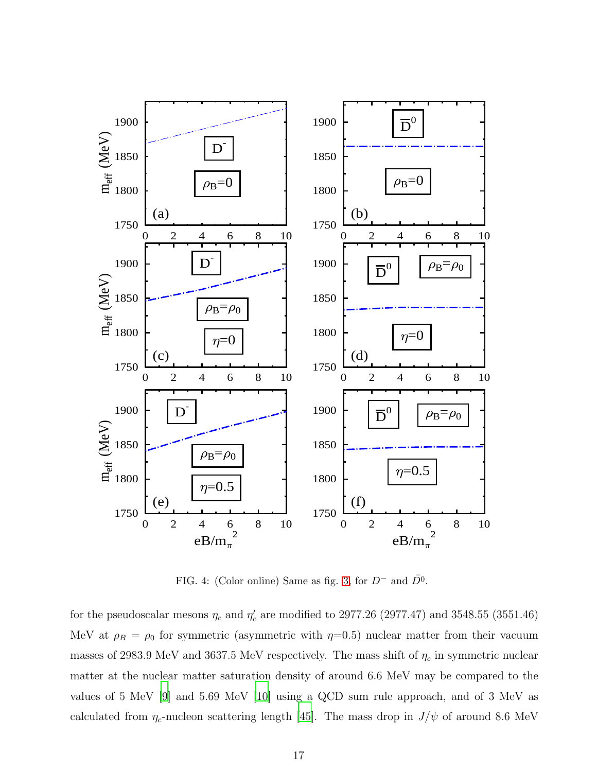

<span id="page-16-0"></span>FIG. 4: (Color online) Same as fig. [3,](#page-15-0) for  $D^-$  and  $\bar{D^0}$ .

for the pseudoscalar mesons  $\eta_c$  and  $\eta_c'$  are modified to 2977.26 (2977.47) and 3548.55 (3551.46) MeV at  $\rho_B = \rho_0$  for symmetric (asymmetric with  $\eta=0.5$ ) nuclear matter from their vacuum masses of 2983.9 MeV and 3637.5 MeV respectively. The mass shift of  $\eta_c$  in symmetric nuclear matter at the nuclear matter saturation density of around 6.6 MeV may be compared to the values of 5 MeV [\[9](#page-28-13)] and 5.69 MeV [\[10\]](#page-28-4) using a QCD sum rule approach, and of 3 MeV as calculated from  $\eta_c$ -nucleon scattering length [\[45](#page-30-2)]. The mass drop in  $J/\psi$  of around 8.6 MeV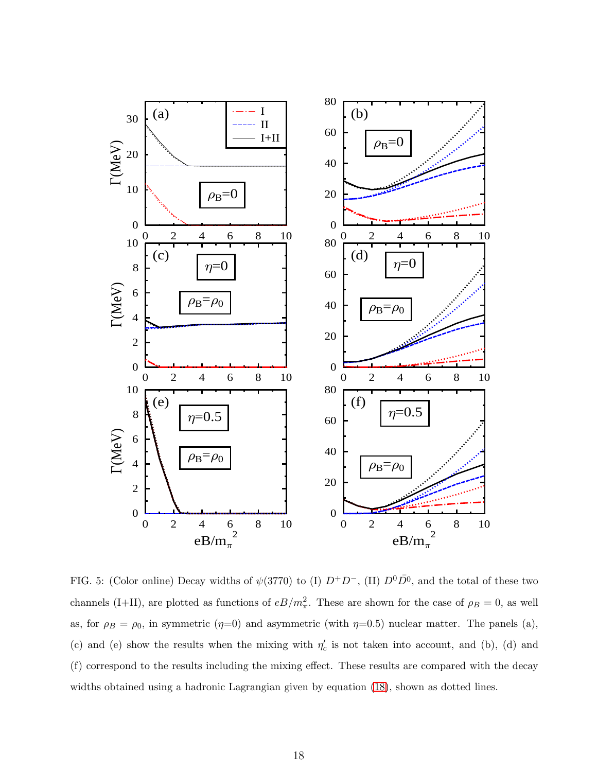

<span id="page-17-0"></span>FIG. 5: (Color online) Decay widths of  $\psi(3770)$  to (I)  $D^+D^-$ , (II)  $D^0\overline{D}^0$ , and the total of these two channels (I+II), are plotted as functions of  $eB/m_{\pi}^2$ . These are shown for the case of  $\rho_B = 0$ , as well as, for  $\rho_B = \rho_0$ , in symmetric ( $\eta=0$ ) and asymmetric (with  $\eta=0.5$ ) nuclear matter. The panels (a), (c) and (e) show the results when the mixing with  $\eta_c'$  is not taken into account, and (b), (d) and (f) correspond to the results including the mixing effect. These results are compared with the decay widths obtained using a hadronic Lagrangian given by equation [\(18\)](#page-10-2), shown as dotted lines.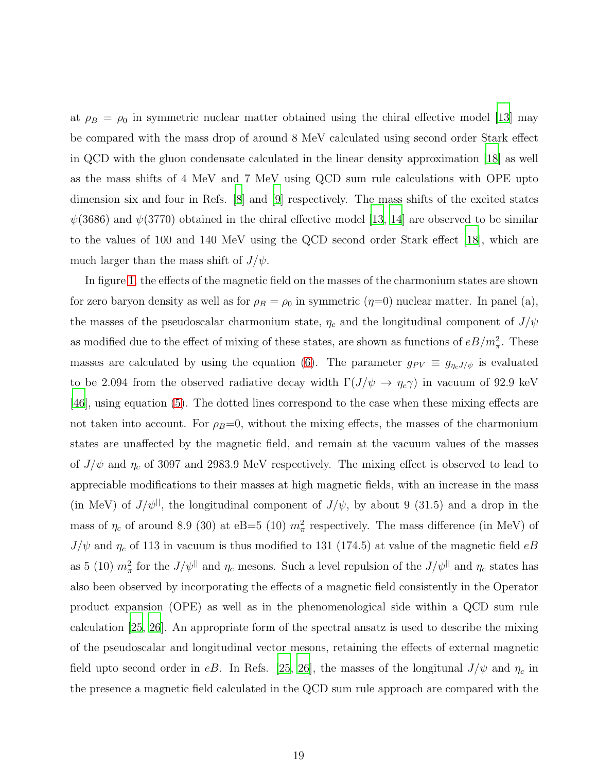at  $\rho_B = \rho_0$  in symmetric nuclear matter obtained using the chiral effective model [\[13\]](#page-28-7) may be compared with the mass drop of around 8 MeV calculated using second order Stark effect in QCD with the gluon condensate calculated in the linear density approximation [\[18\]](#page-28-11) as well as the mass shifts of 4 MeV and 7 MeV using QCD sum rule calculations with OPE upto dimension six and four in Refs. [\[8](#page-28-14)] and [\[9\]](#page-28-13) respectively. The mass shifts of the excited states  $\psi(3686)$  and  $\psi(3770)$  obtained in the chiral effective model [\[13](#page-28-7), [14](#page-28-8)] are observed to be similar to the values of 100 and 140 MeV using the QCD second order Stark effect [\[18\]](#page-28-11), which are much larger than the mass shift of  $J/\psi$ .

In figure [1,](#page-13-0) the effects of the magnetic field on the masses of the charmonium states are shown for zero baryon density as well as for  $\rho_B = \rho_0$  in symmetric  $(\eta=0)$  nuclear matter. In panel (a), the masses of the pseudoscalar charmonium state,  $\eta_c$  and the longitudinal component of  $J/\psi$ as modified due to the effect of mixing of these states, are shown as functions of  $eB/m_{\pi}^2$ . These masses are calculated by using the equation [\(6\)](#page-6-1). The parameter  $g_{PV} \equiv g_{\eta_c J/\psi}$  is evaluated to be 2.094 from the observed radiative decay width  $\Gamma(J/\psi \to \eta_c \gamma)$  in vacuum of 92.9 keV [\[46](#page-30-3)], using equation [\(5\)](#page-6-2). The dotted lines correspond to the case when these mixing effects are not taken into account. For  $\rho_B=0$ , without the mixing effects, the masses of the charmonium states are unaffected by the magnetic field, and remain at the vacuum values of the masses of  $J/\psi$  and  $\eta_c$  of 3097 and 2983.9 MeV respectively. The mixing effect is observed to lead to appreciable modifications to their masses at high magnetic fields, with an increase in the mass (in MeV) of  $J/\psi$ <sup>||</sup>, the longitudinal component of  $J/\psi$ , by about 9 (31.5) and a drop in the mass of  $\eta_c$  of around 8.9 (30) at eB=5 (10)  $m_\pi^2$  respectively. The mass difference (in MeV) of  $J/\psi$  and  $\eta_c$  of 113 in vacuum is thus modified to 131 (174.5) at value of the magnetic field  $eB$ as 5 (10)  $m_{\pi}^2$  for the  $J/\psi$ <sup>||</sup> and  $\eta_c$  mesons. Such a level repulsion of the  $J/\psi$ <sup>||</sup> and  $\eta_c$  states has also been observed by incorporating the effects of a magnetic field consistently in the Operator product expansion (OPE) as well as in the phenomenological side within a QCD sum rule calculation [\[25](#page-29-4), [26\]](#page-29-3). An appropriate form of the spectral ansatz is used to describe the mixing of the pseudoscalar and longitudinal vector mesons, retaining the effects of external magnetic field upto second order in eB. In Refs. [\[25,](#page-29-4) [26\]](#page-29-3), the masses of the longitunal  $J/\psi$  and  $\eta_c$  in the presence a magnetic field calculated in the QCD sum rule approach are compared with the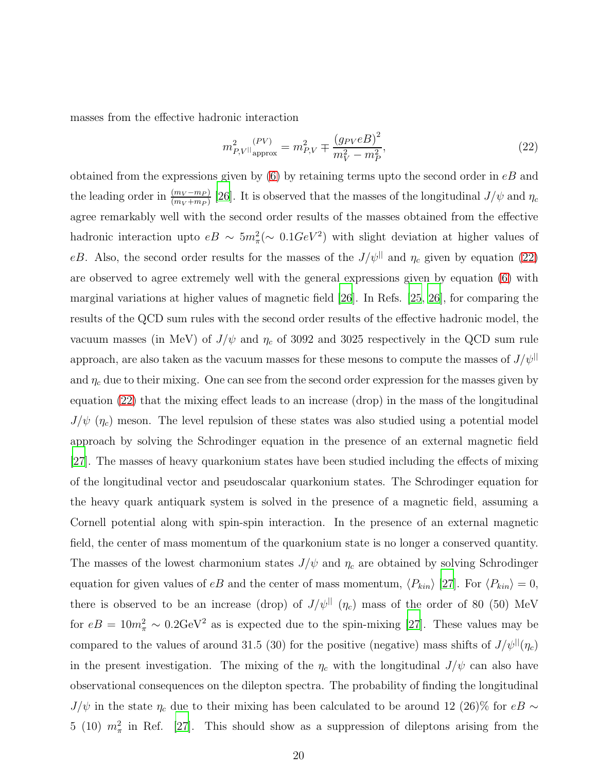masses from the effective hadronic interaction

<span id="page-19-0"></span>
$$
m_{P,V||_{\text{approx}}}^{2} = m_{P,V}^{2} \mp \frac{(g_{PV}eB)^{2}}{m_{V}^{2} - m_{P}^{2}},\tag{22}
$$

obtained from the expressions given by  $(6)$  by retaining terms upto the second order in  $eB$  and the leading order in  $\frac{(m_V - m_P)}{(m_V + m_P)}$  [\[26](#page-29-3)]. It is observed that the masses of the longitudinal  $J/\psi$  and  $\eta_c$ agree remarkably well with the second order results of the masses obtained from the effective hadronic interaction upto  $eB \sim 5m_{\pi}^2 (\sim 0.1 GeV^2)$  with slight deviation at higher values of eB. Also, the second order results for the masses of the  $J/\psi^{||}$  and  $\eta_c$  given by equation [\(22\)](#page-19-0) are observed to agree extremely well with the general expressions given by equation [\(6\)](#page-6-1) with marginal variations at higher values of magnetic field [\[26](#page-29-3)]. In Refs. [\[25,](#page-29-4) [26](#page-29-3)], for comparing the results of the QCD sum rules with the second order results of the effective hadronic model, the vacuum masses (in MeV) of  $J/\psi$  and  $\eta_c$  of 3092 and 3025 respectively in the QCD sum rule approach, are also taken as the vacuum masses for these mesons to compute the masses of  $J/\psi$ <sup>||</sup> and  $\eta_c$  due to their mixing. One can see from the second order expression for the masses given by equation [\(22\)](#page-19-0) that the mixing effect leads to an increase (drop) in the mass of the longitudinal  $J/\psi$  ( $\eta_c$ ) meson. The level repulsion of these states was also studied using a potential model approach by solving the Schrodinger equation in the presence of an external magnetic field [\[27\]](#page-29-6). The masses of heavy quarkonium states have been studied including the effects of mixing of the longitudinal vector and pseudoscalar quarkonium states. The Schrodinger equation for the heavy quark antiquark system is solved in the presence of a magnetic field, assuming a Cornell potential along with spin-spin interaction. In the presence of an external magnetic field, the center of mass momentum of the quarkonium state is no longer a conserved quantity. The masses of the lowest charmonium states  $J/\psi$  and  $\eta_c$  are obtained by solving Schrodinger equation for given values of eB and the center of mass momentum,  $\langle P_{kin} \rangle$  [\[27](#page-29-6)]. For  $\langle P_{kin} \rangle = 0$ , there is observed to be an increase (drop) of  $J/\psi^{||}(\eta_c)$  mass of the order of 80 (50) MeV for  $eB = 10m_{\pi}^2 \sim 0.2 \text{GeV}^2$  as is expected due to the spin-mixing [\[27\]](#page-29-6). These values may be compared to the values of around 31.5 (30) for the positive (negative) mass shifts of  $J/\psi^{||}(\eta_c)$ in the present investigation. The mixing of the  $\eta_c$  with the longitudinal  $J/\psi$  can also have observational consequences on the dilepton spectra. The probability of finding the longitudinal  $J/\psi$  in the state  $\eta_c$  due to their mixing has been calculated to be around 12 (26)% for  $eB$  ∼ 5 (10)  $m_{\pi}^2$  in Ref. [\[27](#page-29-6)]. This should show as a suppression of dileptons arising from the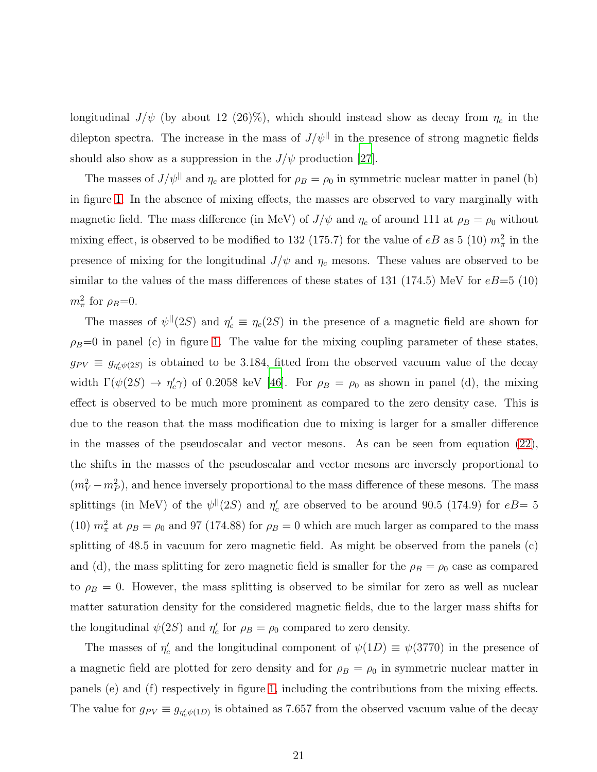longitudinal  $J/\psi$  (by about 12 (26)%), which should instead show as decay from  $\eta_c$  in the dilepton spectra. The increase in the mass of  $J/\psi$ <sup>||</sup> in the presence of strong magnetic fields should also show as a suppression in the  $J/\psi$  production [\[27](#page-29-6)].

The masses of  $J/\psi$ <sup>||</sup> and  $\eta_c$  are plotted for  $\rho_B = \rho_0$  in symmetric nuclear matter in panel (b) in figure [1.](#page-13-0) In the absence of mixing effects, the masses are observed to vary marginally with magnetic field. The mass difference (in MeV) of  $J/\psi$  and  $\eta_c$  of around 111 at  $\rho_B = \rho_0$  without mixing effect, is observed to be modified to 132 (175.7) for the value of  $eB$  as 5 (10)  $m_{\pi}^2$  in the presence of mixing for the longitudinal  $J/\psi$  and  $\eta_c$  mesons. These values are observed to be similar to the values of the mass differences of these states of 131 (174.5) MeV for  $eB=5$  (10)  $m_\pi^2$  for  $\rho_B=0$ .

The masses of  $\psi^{\parallel}(2S)$  and  $\eta_c \equiv \eta_c(2S)$  in the presence of a magnetic field are shown for  $\rho_B=0$  in panel (c) in figure [1.](#page-13-0) The value for the mixing coupling parameter of these states,  $g_{PV} \equiv g_{\eta_c'\psi(2S)}$  is obtained to be 3.184, fitted from the observed vacuum value of the decay width  $\Gamma(\psi(2S) \to \eta_c^{\prime\prime})$  of 0.2058 keV [\[46\]](#page-30-3). For  $\rho_B = \rho_0$  as shown in panel (d), the mixing effect is observed to be much more prominent as compared to the zero density case. This is due to the reason that the mass modification due to mixing is larger for a smaller difference in the masses of the pseudoscalar and vector mesons. As can be seen from equation [\(22\)](#page-19-0), the shifts in the masses of the pseudoscalar and vector mesons are inversely proportional to  $(m_V^2 - m_P^2)$ , and hence inversely proportional to the mass difference of these mesons. The mass splittings (in MeV) of the  $\psi$ <sup>||</sup>(2*S*) and  $\eta_c'$  are observed to be around 90.5 (174.9) for  $eB = 5$ (10)  $m_{\pi}^2$  at  $\rho_B = \rho_0$  and 97 (174.88) for  $\rho_B = 0$  which are much larger as compared to the mass splitting of 48.5 in vacuum for zero magnetic field. As might be observed from the panels (c) and (d), the mass splitting for zero magnetic field is smaller for the  $\rho_B = \rho_0$  case as compared to  $\rho_B = 0$ . However, the mass splitting is observed to be similar for zero as well as nuclear matter saturation density for the considered magnetic fields, due to the larger mass shifts for the longitudinal  $\psi(2S)$  and  $\eta_c'$  for  $\rho_B = \rho_0$  compared to zero density.

The masses of  $\eta_c'$  and the longitudinal component of  $\psi(1D) \equiv \psi(3770)$  in the presence of a magnetic field are plotted for zero density and for  $\rho_B = \rho_0$  in symmetric nuclear matter in panels (e) and (f) respectively in figure [1,](#page-13-0) including the contributions from the mixing effects. The value for  $g_{PV} \equiv g_{\eta_c'\psi(1D)}$  is obtained as 7.657 from the observed vacuum value of the decay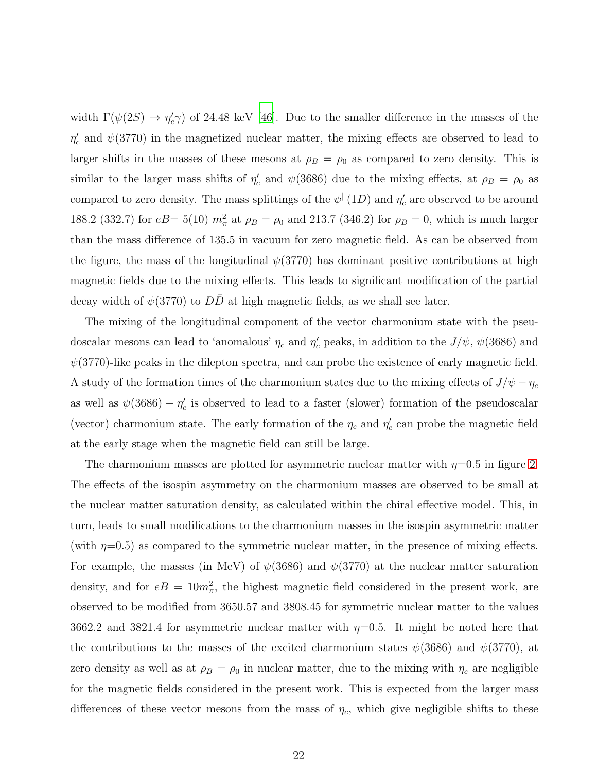width  $\Gamma(\psi(2S) \to \eta_c^{\prime}\gamma)$  of 24.48 keV [\[46](#page-30-3)]. Due to the smaller difference in the masses of the  $\eta_c'$  and  $\psi(3770)$  in the magnetized nuclear matter, the mixing effects are observed to lead to larger shifts in the masses of these mesons at  $\rho_B = \rho_0$  as compared to zero density. This is similar to the larger mass shifts of  $\eta_c'$  and  $\psi(3686)$  due to the mixing effects, at  $\rho_B = \rho_0$  as compared to zero density. The mass splittings of the  $\psi^{||}(1D)$  and  $\eta'_{c}$  are observed to be around 188.2 (332.7) for  $eB = 5(10)$   $m_{\pi}^2$  at  $\rho_B = \rho_0$  and 213.7 (346.2) for  $\rho_B = 0$ , which is much larger than the mass difference of 135.5 in vacuum for zero magnetic field. As can be observed from the figure, the mass of the longitudinal  $\psi(3770)$  has dominant positive contributions at high magnetic fields due to the mixing effects. This leads to significant modification of the partial decay width of  $\psi(3770)$  to DD at high magnetic fields, as we shall see later.

The mixing of the longitudinal component of the vector charmonium state with the pseudoscalar mesons can lead to 'anomalous'  $\eta_c$  and  $\eta_c'$  peaks, in addition to the  $J/\psi$ ,  $\psi(3686)$  and  $\psi(3770)$ -like peaks in the dilepton spectra, and can probe the existence of early magnetic field. A study of the formation times of the charmonium states due to the mixing effects of  $J/\psi - \eta_c$ as well as  $\psi(3686) - \eta_c'$  is observed to lead to a faster (slower) formation of the pseudoscalar (vector) charmonium state. The early formation of the  $\eta_c$  and  $\eta_c'$  can probe the magnetic field at the early stage when the magnetic field can still be large.

The charmonium masses are plotted for asymmetric nuclear matter with  $\eta=0.5$  in figure [2.](#page-14-0) The effects of the isospin asymmetry on the charmonium masses are observed to be small at the nuclear matter saturation density, as calculated within the chiral effective model. This, in turn, leads to small modifications to the charmonium masses in the isospin asymmetric matter (with  $\eta=0.5$ ) as compared to the symmetric nuclear matter, in the presence of mixing effects. For example, the masses (in MeV) of  $\psi(3686)$  and  $\psi(3770)$  at the nuclear matter saturation density, and for  $eB = 10m_{\pi}^2$ , the highest magnetic field considered in the present work, are observed to be modified from 3650.57 and 3808.45 for symmetric nuclear matter to the values 3662.2 and 3821.4 for asymmetric nuclear matter with  $\eta=0.5$ . It might be noted here that the contributions to the masses of the excited charmonium states  $\psi(3686)$  and  $\psi(3770)$ , at zero density as well as at  $\rho_B = \rho_0$  in nuclear matter, due to the mixing with  $\eta_c$  are negligible for the magnetic fields considered in the present work. This is expected from the larger mass differences of these vector mesons from the mass of  $\eta_c$ , which give negligible shifts to these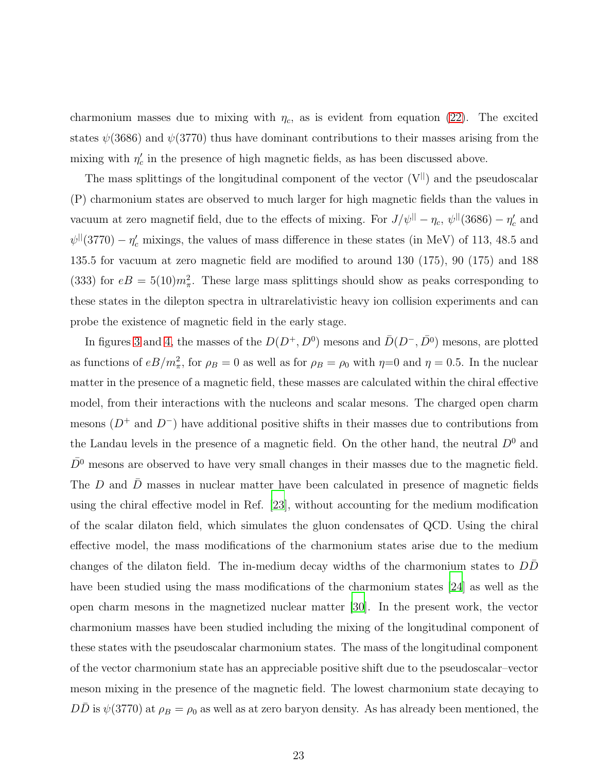charmonium masses due to mixing with  $\eta_c$ , as is evident from equation [\(22\)](#page-19-0). The excited states  $\psi(3686)$  and  $\psi(3770)$  thus have dominant contributions to their masses arising from the mixing with  $\eta_c'$  in the presence of high magnetic fields, as has been discussed above.

The mass splittings of the longitudinal component of the vector  $(V^{||})$  and the pseudoscalar (P) charmonium states are observed to much larger for high magnetic fields than the values in vacuum at zero magnetif field, due to the effects of mixing. For  $J/\psi$ <sup>||</sup> –  $\eta_c$ ,  $\psi$ <sup>||</sup>(3686) –  $\eta_c'$  and  $\psi$ <sup>||</sup>(3770) –  $\eta_c'$  mixings, the values of mass difference in these states (in MeV) of 113, 48.5 and 135.5 for vacuum at zero magnetic field are modified to around 130 (175), 90 (175) and 188 (333) for  $eB = 5(10)m_{\pi}^2$ . These large mass splittings should show as peaks corresponding to these states in the dilepton spectra in ultrarelativistic heavy ion collision experiments and can probe the existence of magnetic field in the early stage.

In figures [3](#page-15-0) and [4,](#page-16-0) the masses of the  $D(D^+, D^0)$  mesons and  $\bar{D}(D^-, \bar{D^0})$  mesons, are plotted as functions of  $eB/m_{\pi}^2$ , for  $\rho_B = 0$  as well as for  $\rho_B = \rho_0$  with  $\eta = 0$  and  $\eta = 0.5$ . In the nuclear matter in the presence of a magnetic field, these masses are calculated within the chiral effective model, from their interactions with the nucleons and scalar mesons. The charged open charm mesons  $(D^+$  and  $D^-$ ) have additional positive shifts in their masses due to contributions from the Landau levels in the presence of a magnetic field. On the other hand, the neutral  $D^0$  and  $D<sup>0</sup>$  mesons are observed to have very small changes in their masses due to the magnetic field. The  $D$  and  $D$  masses in nuclear matter have been calculated in presence of magnetic fields using the chiral effective model in Ref. [\[23\]](#page-29-1), without accounting for the medium modification of the scalar dilaton field, which simulates the gluon condensates of QCD. Using the chiral effective model, the mass modifications of the charmonium states arise due to the medium changes of the dilaton field. The in-medium decay widths of the charmonium states to  $DD$ have been studied using the mass modifications of the charmonium states [\[24](#page-29-2)] as well as the open charm mesons in the magnetized nuclear matter [\[30\]](#page-29-8). In the present work, the vector charmonium masses have been studied including the mixing of the longitudinal component of these states with the pseudoscalar charmonium states. The mass of the longitudinal component of the vector charmonium state has an appreciable positive shift due to the pseudoscalar–vector meson mixing in the presence of the magnetic field. The lowest charmonium state decaying to  $D\bar{D}$  is  $\psi(3770)$  at  $\rho_B = \rho_0$  as well as at zero baryon density. As has already been mentioned, the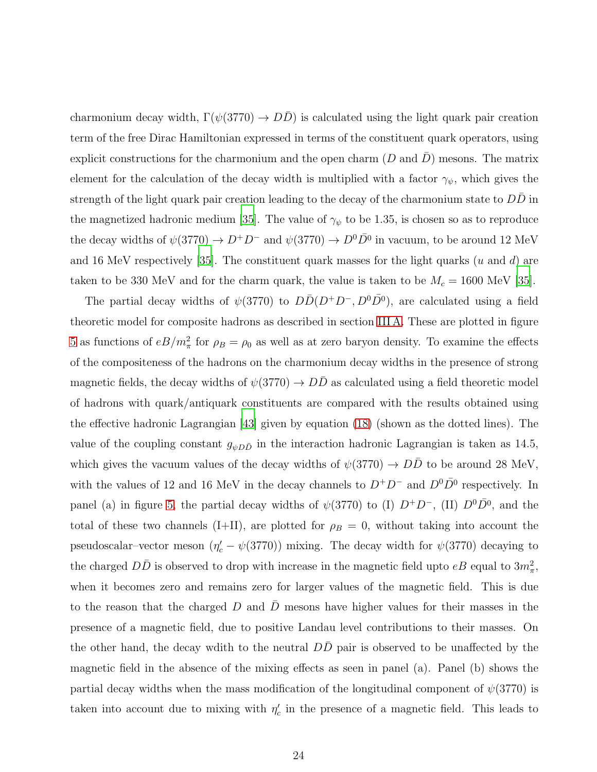charmonium decay width,  $\Gamma(\psi(3770) \to D\bar{D})$  is calculated using the light quark pair creation term of the free Dirac Hamiltonian expressed in terms of the constituent quark operators, using explicit constructions for the charmonium and the open charm  $(D \text{ and } D)$  mesons. The matrix element for the calculation of the decay width is multiplied with a factor  $\gamma_{\psi}$ , which gives the strength of the light quark pair creation leading to the decay of the charmonium state to  $DD$  in the magnetized hadronic medium [\[35](#page-29-11)]. The value of  $\gamma_{\psi}$  to be 1.35, is chosen so as to reproduce the decay widths of  $\psi(3770) \to D^{+}D^{-}$  and  $\psi(3770) \to D^{0}D^{-}$  in vacuum, to be around 12 MeV and 16 MeV respectively [\[35\]](#page-29-11). The constituent quark masses for the light quarks ( $u$  and  $d$ ) are taken to be 330 MeV and for the charm quark, the value is taken to be  $M_c = 1600$  MeV [\[35](#page-29-11)].

The partial decay widths of  $\psi(3770)$  to  $D\bar{D}(D^+D^-, D^0\bar{D}^0)$ , are calculated using a field theoretic model for composite hadrons as described in section [III](#page-7-0) A. These are plotted in figure [5](#page-17-0) as functions of  $eB/m_{\pi}^2$  for  $\rho_B = \rho_0$  as well as at zero baryon density. To examine the effects of the compositeness of the hadrons on the charmonium decay widths in the presence of strong magnetic fields, the decay widths of  $\psi(3770) \rightarrow DD$  as calculated using a field theoretic model of hadrons with quark/antiquark constituents are compared with the results obtained using the effective hadronic Lagrangian [\[43\]](#page-30-0) given by equation [\(18\)](#page-10-2) (shown as the dotted lines). The value of the coupling constant  $g_{\psi D\bar{D}}$  in the interaction hadronic Lagrangian is taken as 14.5, which gives the vacuum values of the decay widths of  $\psi(3770) \rightarrow D\bar{D}$  to be around 28 MeV, with the values of 12 and 16 MeV in the decay channels to  $D^+D^-$  and  $D^0\overline{D}{}^0$  respectively. In panel (a) in figure [5,](#page-17-0) the partial decay widths of  $\psi(3770)$  to (I)  $D^+D^-$ , (II)  $D^0\overline{D}{}^0$ , and the total of these two channels (I+II), are plotted for  $\rho_B = 0$ , without taking into account the pseudoscalar–vector meson  $(\eta'_c - \psi(3770))$  mixing. The decay width for  $\psi(3770)$  decaying to the charged  $D\bar{D}$  is observed to drop with increase in the magnetic field upto  $eB$  equal to  $3m_{\pi}^2$ , when it becomes zero and remains zero for larger values of the magnetic field. This is due to the reason that the charged D and  $\bar{D}$  mesons have higher values for their masses in the presence of a magnetic field, due to positive Landau level contributions to their masses. On the other hand, the decay wdith to the neutral  $D\bar{D}$  pair is observed to be unaffected by the magnetic field in the absence of the mixing effects as seen in panel (a). Panel (b) shows the partial decay widths when the mass modification of the longitudinal component of  $\psi(3770)$  is taken into account due to mixing with  $\eta_c'$  in the presence of a magnetic field. This leads to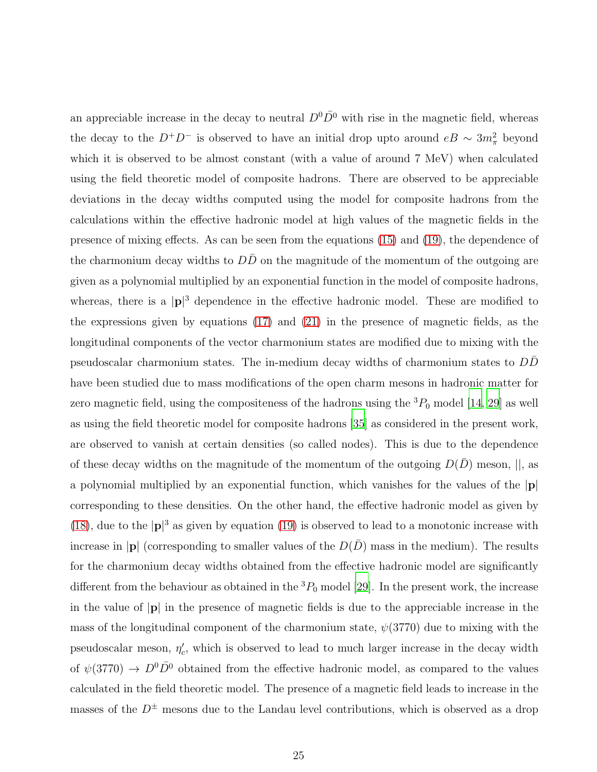an appreciable increase in the decay to neutral  $D^0\overline{D}^0$  with rise in the magnetic field, whereas the decay to the  $D^+D^-$  is observed to have an initial drop upto around  $eB \sim 3m_{\pi}^2$  beyond which it is observed to be almost constant (with a value of around 7 MeV) when calculated using the field theoretic model of composite hadrons. There are observed to be appreciable deviations in the decay widths computed using the model for composite hadrons from the calculations within the effective hadronic model at high values of the magnetic fields in the presence of mixing effects. As can be seen from the equations [\(15\)](#page-9-1) and [\(19\)](#page-11-1), the dependence of the charmonium decay widths to  $D\bar{D}$  on the magnitude of the momentum of the outgoing are given as a polynomial multiplied by an exponential function in the model of composite hadrons, whereas, there is a  $|\mathbf{p}|^3$  dependence in the effective hadronic model. These are modified to the expressions given by equations [\(17\)](#page-10-1) and [\(21\)](#page-11-2) in the presence of magnetic fields, as the longitudinal components of the vector charmonium states are modified due to mixing with the pseudoscalar charmonium states. The in-medium decay widths of charmonium states to DD¯ have been studied due to mass modifications of the open charm mesons in hadronic matter for zero magnetic field, using the compositeness of the hadrons using the  ${}^{3}P_{0}$  model [\[14,](#page-28-8) [29](#page-29-7)] as well as using the field theoretic model for composite hadrons [\[35\]](#page-29-11) as considered in the present work, are observed to vanish at certain densities (so called nodes). This is due to the dependence of these decay widths on the magnitude of the momentum of the outgoing  $D(\bar{D})$  meson,  $||$ , as a polynomial multiplied by an exponential function, which vanishes for the values of the |p| corresponding to these densities. On the other hand, the effective hadronic model as given by [\(18\)](#page-10-2), due to the  $|\mathbf{p}|^3$  as given by equation [\(19\)](#page-11-1) is observed to lead to a monotonic increase with increase in |p| (corresponding to smaller values of the  $D(\overline{D})$  mass in the medium). The results for the charmonium decay widths obtained from the effective hadronic model are significantly different from the behaviour as obtained in the  ${}^{3}P_{0}$  model [\[29\]](#page-29-7). In the present work, the increase in the value of  $|\mathbf{p}|$  in the presence of magnetic fields is due to the appreciable increase in the mass of the longitudinal component of the charmonium state,  $\psi(3770)$  due to mixing with the pseudoscalar meson,  $\eta_c'$ , which is observed to lead to much larger increase in the decay width of  $\psi(3770) \to D^0 \bar{D}^0$  obtained from the effective hadronic model, as compared to the values calculated in the field theoretic model. The presence of a magnetic field leads to increase in the masses of the  $D^{\pm}$  mesons due to the Landau level contributions, which is observed as a drop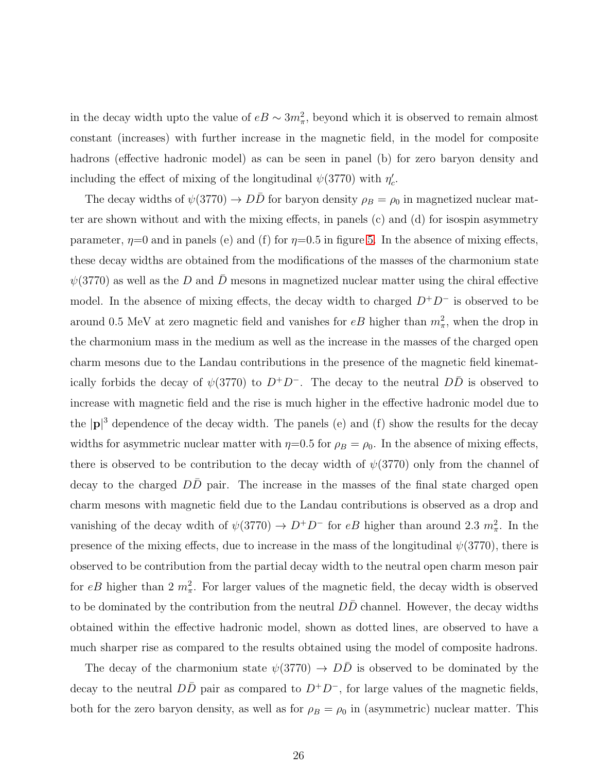in the decay width upto the value of  $eB \sim 3m_{\pi}^2$ , beyond which it is observed to remain almost constant (increases) with further increase in the magnetic field, in the model for composite hadrons (effective hadronic model) as can be seen in panel (b) for zero baryon density and including the effect of mixing of the longitudinal  $\psi(3770)$  with  $\eta_c'$ .

The decay widths of  $\psi(3770) \to D\bar{D}$  for baryon density  $\rho_B = \rho_0$  in magnetized nuclear matter are shown without and with the mixing effects, in panels (c) and (d) for isospin asymmetry parameter,  $\eta=0$  and in panels (e) and (f) for  $\eta=0.5$  in figure [5.](#page-17-0) In the absence of mixing effects, these decay widths are obtained from the modifications of the masses of the charmonium state  $\psi(3770)$  as well as the D and D mesons in magnetized nuclear matter using the chiral effective model. In the absence of mixing effects, the decay width to charged  $D^+D^-$  is observed to be around 0.5 MeV at zero magnetic field and vanishes for  $eB$  higher than  $m_{\pi}^2$ , when the drop in the charmonium mass in the medium as well as the increase in the masses of the charged open charm mesons due to the Landau contributions in the presence of the magnetic field kinematically forbids the decay of  $\psi(3770)$  to  $D^+D^-$ . The decay to the neutral  $D\overline{D}$  is observed to increase with magnetic field and the rise is much higher in the effective hadronic model due to the  $|\mathbf{p}|^3$  dependence of the decay width. The panels (e) and (f) show the results for the decay widths for asymmetric nuclear matter with  $\eta=0.5$  for  $\rho_B = \rho_0$ . In the absence of mixing effects, there is observed to be contribution to the decay width of  $\psi(3770)$  only from the channel of decay to the charged  $DD$  pair. The increase in the masses of the final state charged open charm mesons with magnetic field due to the Landau contributions is observed as a drop and vanishing of the decay wdith of  $\psi(3770) \to D^+D^-$  for  $eB$  higher than around 2.3  $m_{\pi}^2$ . In the presence of the mixing effects, due to increase in the mass of the longitudinal  $\psi(3770)$ , there is observed to be contribution from the partial decay width to the neutral open charm meson pair for eB higher than 2  $m_{\pi}^2$ . For larger values of the magnetic field, the decay width is observed to be dominated by the contribution from the neutral  $DD$  channel. However, the decay widths obtained within the effective hadronic model, shown as dotted lines, are observed to have a much sharper rise as compared to the results obtained using the model of composite hadrons.

The decay of the charmonium state  $\psi(3770) \rightarrow D\overline{D}$  is observed to be dominated by the decay to the neutral  $D\bar{D}$  pair as compared to  $D^+D^-$ , for large values of the magnetic fields, both for the zero baryon density, as well as for  $\rho_B = \rho_0$  in (asymmetric) nuclear matter. This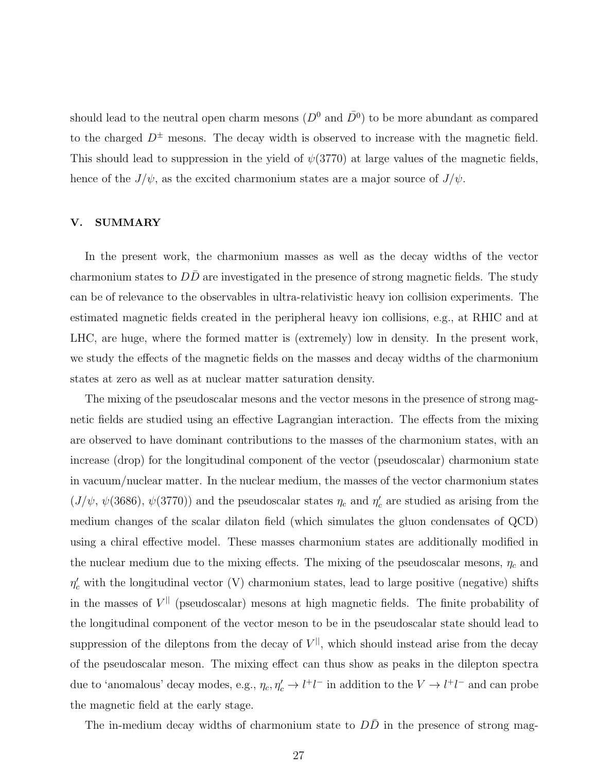should lead to the neutral open charm mesons  $(D^0 \text{ and } \overline{D}{}^0)$  to be more abundant as compared to the charged  $D^{\pm}$  mesons. The decay width is observed to increase with the magnetic field. This should lead to suppression in the yield of  $\psi(3770)$  at large values of the magnetic fields, hence of the  $J/\psi$ , as the excited charmonium states are a major source of  $J/\psi$ .

## V. SUMMARY

In the present work, the charmonium masses as well as the decay widths of the vector charmonium states to  $DD$  are investigated in the presence of strong magnetic fields. The study can be of relevance to the observables in ultra-relativistic heavy ion collision experiments. The estimated magnetic fields created in the peripheral heavy ion collisions, e.g., at RHIC and at LHC, are huge, where the formed matter is (extremely) low in density. In the present work, we study the effects of the magnetic fields on the masses and decay widths of the charmonium states at zero as well as at nuclear matter saturation density.

The mixing of the pseudoscalar mesons and the vector mesons in the presence of strong magnetic fields are studied using an effective Lagrangian interaction. The effects from the mixing are observed to have dominant contributions to the masses of the charmonium states, with an increase (drop) for the longitudinal component of the vector (pseudoscalar) charmonium state in vacuum/nuclear matter. In the nuclear medium, the masses of the vector charmonium states  $(J/\psi, \psi(3686), \psi(3770))$  and the pseudoscalar states  $\eta_c$  and  $\eta_c'$  are studied as arising from the medium changes of the scalar dilaton field (which simulates the gluon condensates of QCD) using a chiral effective model. These masses charmonium states are additionally modified in the nuclear medium due to the mixing effects. The mixing of the pseudoscalar mesons,  $\eta_c$  and  $\eta_c'$  with the longitudinal vector (V) charmonium states, lead to large positive (negative) shifts in the masses of  $V^{\parallel}$  (pseudoscalar) mesons at high magnetic fields. The finite probability of the longitudinal component of the vector meson to be in the pseudoscalar state should lead to suppression of the dileptons from the decay of  $V^{\parallel}$ , which should instead arise from the decay of the pseudoscalar meson. The mixing effect can thus show as peaks in the dilepton spectra due to 'anomalous' decay modes, e.g.,  $\eta_c, \eta_c' \to l^+l^-$  in addition to the  $V \to l^+l^-$  and can probe the magnetic field at the early stage.

The in-medium decay widths of charmonium state to  $D\bar{D}$  in the presence of strong mag-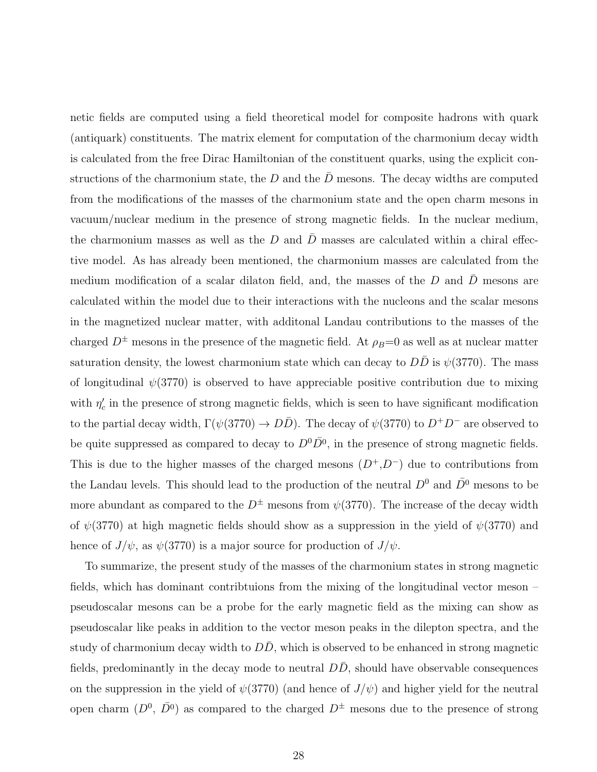netic fields are computed using a field theoretical model for composite hadrons with quark (antiquark) constituents. The matrix element for computation of the charmonium decay width is calculated from the free Dirac Hamiltonian of the constituent quarks, using the explicit constructions of the charmonium state, the D and the  $\bar{D}$  mesons. The decay widths are computed from the modifications of the masses of the charmonium state and the open charm mesons in vacuum/nuclear medium in the presence of strong magnetic fields. In the nuclear medium, the charmonium masses as well as the D and  $\overline{D}$  masses are calculated within a chiral effective model. As has already been mentioned, the charmonium masses are calculated from the medium modification of a scalar dilaton field, and, the masses of the  $D$  and  $D$  mesons are calculated within the model due to their interactions with the nucleons and the scalar mesons in the magnetized nuclear matter, with additonal Landau contributions to the masses of the charged  $D^{\pm}$  mesons in the presence of the magnetic field. At  $\rho_B=0$  as well as at nuclear matter saturation density, the lowest charmonium state which can decay to  $D\bar{D}$  is  $\psi(3770)$ . The mass of longitudinal  $\psi(3770)$  is observed to have appreciable positive contribution due to mixing with  $\eta_c'$  in the presence of strong magnetic fields, which is seen to have significant modification to the partial decay width,  $\Gamma(\psi(3770) \to D\bar{D})$ . The decay of  $\psi(3770)$  to  $D^+D^-$  are observed to be quite suppressed as compared to decay to  $D^0\overline{D}{}^0$ , in the presence of strong magnetic fields. This is due to the higher masses of the charged mesons  $(D^+, D^-)$  due to contributions from the Landau levels. This should lead to the production of the neutral  $D^0$  and  $\bar{D^0}$  mesons to be more abundant as compared to the  $D^{\pm}$  mesons from  $\psi(3770)$ . The increase of the decay width of  $\psi(3770)$  at high magnetic fields should show as a suppression in the yield of  $\psi(3770)$  and hence of  $J/\psi$ , as  $\psi(3770)$  is a major source for production of  $J/\psi$ .

To summarize, the present study of the masses of the charmonium states in strong magnetic fields, which has dominant contribtuions from the mixing of the longitudinal vector meson – pseudoscalar mesons can be a probe for the early magnetic field as the mixing can show as pseudoscalar like peaks in addition to the vector meson peaks in the dilepton spectra, and the study of charmonium decay width to  $D\overline{D}$ , which is observed to be enhanced in strong magnetic fields, predominantly in the decay mode to neutral  $D\bar{D}$ , should have observable consequences on the suppression in the yield of  $\psi(3770)$  (and hence of  $J/\psi$ ) and higher yield for the neutral open charm  $(D^0, \bar{D}^0)$  as compared to the charged  $D^{\pm}$  mesons due to the presence of strong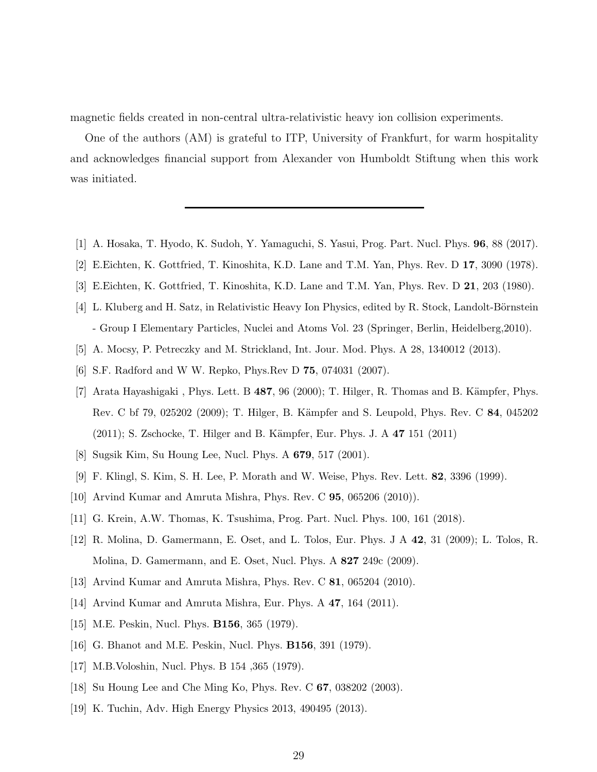magnetic fields created in non-central ultra-relativistic heavy ion collision experiments.

One of the authors (AM) is grateful to ITP, University of Frankfurt, for warm hospitality and acknowledges financial support from Alexander von Humboldt Stiftung when this work was initiated.

- <span id="page-28-1"></span><span id="page-28-0"></span>[1] A. Hosaka, T. Hyodo, K. Sudoh, Y. Yamaguchi, S. Yasui, Prog. Part. Nucl. Phys. 96, 88 (2017).
- [2] E.Eichten, K. Gottfried, T. Kinoshita, K.D. Lane and T.M. Yan, Phys. Rev. D 17, 3090 (1978).
- [3] E.Eichten, K. Gottfried, T. Kinoshita, K.D. Lane and T.M. Yan, Phys. Rev. D 21, 203 (1980).
- [4] L. Kluberg and H. Satz, in Relativistic Heavy Ion Physics, edited by R. Stock, Landolt-Börnstein - Group I Elementary Particles, Nuclei and Atoms Vol. 23 (Springer, Berlin, Heidelberg,2010).
- <span id="page-28-2"></span>[5] A. Mocsy, P. Petreczky and M. Strickland, Int. Jour. Mod. Phys. A 28, 1340012 (2013).
- [6] S.F. Radford and W W. Repko, Phys.Rev D 75, 074031 (2007).
- <span id="page-28-3"></span>[7] Arata Hayashigaki, Phys. Lett. B  $487, 96$  (2000); T. Hilger, R. Thomas and B. Kämpfer, Phys. Rev. C bf 79, 025202 (2009); T. Hilger, B. Kämpfer and S. Leupold, Phys. Rev. C 84, 045202 (2011); S. Zschocke, T. Hilger and B. Kämpfer, Eur. Phys. J. A 47 151 (2011)
- <span id="page-28-14"></span>[8] Sugsik Kim, Su Houng Lee, Nucl. Phys. A 679, 517 (2001).
- <span id="page-28-13"></span>[9] F. Klingl, S. Kim, S. H. Lee, P. Morath and W. Weise, Phys. Rev. Lett. 82, 3396 (1999).
- <span id="page-28-5"></span><span id="page-28-4"></span>[10] Arvind Kumar and Amruta Mishra, Phys. Rev. C 95, 065206 (2010)).
- <span id="page-28-6"></span>[11] G. Krein, A.W. Thomas, K. Tsushima, Prog. Part. Nucl. Phys. 100, 161 (2018).
- [12] R. Molina, D. Gamermann, E. Oset, and L. Tolos, Eur. Phys. J A 42, 31 (2009); L. Tolos, R. Molina, D. Gamermann, and E. Oset, Nucl. Phys. A 827 249c (2009).
- <span id="page-28-7"></span>[13] Arvind Kumar and Amruta Mishra, Phys. Rev. C 81, 065204 (2010).
- <span id="page-28-8"></span>[14] Arvind Kumar and Amruta Mishra, Eur. Phys. A 47, 164 (2011).
- <span id="page-28-9"></span>[15] M.E. Peskin, Nucl. Phys. **B156**, 365 (1979).
- [16] G. Bhanot and M.E. Peskin, Nucl. Phys. B156, 391 (1979).
- <span id="page-28-10"></span>[17] M.B.Voloshin, Nucl. Phys. B 154 ,365 (1979).
- <span id="page-28-11"></span>[18] Su Houng Lee and Che Ming Ko, Phys. Rev. C 67, 038202 (2003).
- <span id="page-28-12"></span>[19] K. Tuchin, Adv. High Energy Physics 2013, 490495 (2013).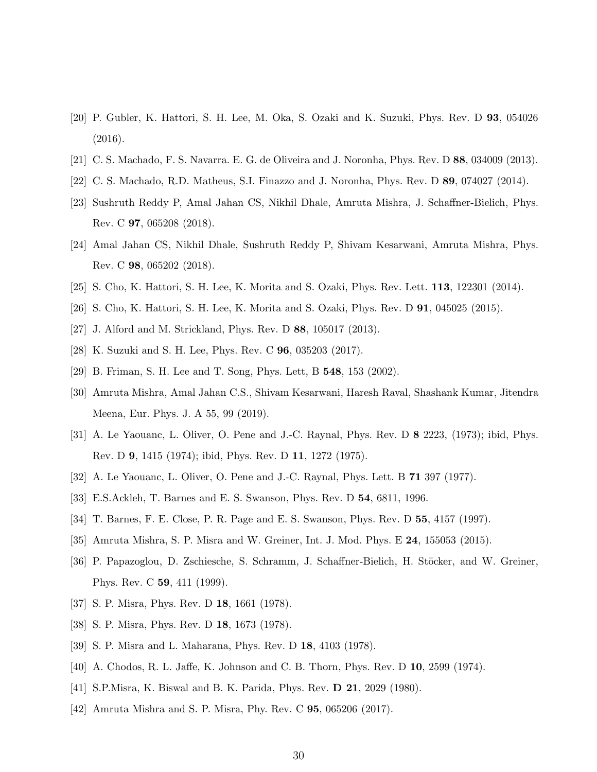- <span id="page-29-0"></span>[20] P. Gubler, K. Hattori, S. H. Lee, M. Oka, S. Ozaki and K. Suzuki, Phys. Rev. D 93, 054026 (2016).
- [21] C. S. Machado, F. S. Navarra. E. G. de Oliveira and J. Noronha, Phys. Rev. D 88, 034009 (2013).
- <span id="page-29-1"></span>[22] C. S. Machado, R.D. Matheus, S.I. Finazzo and J. Noronha, Phys. Rev. D 89, 074027 (2014).
- [23] Sushruth Reddy P, Amal Jahan CS, Nikhil Dhale, Amruta Mishra, J. Schaffner-Bielich, Phys. Rev. C 97, 065208 (2018).
- <span id="page-29-2"></span>[24] Amal Jahan CS, Nikhil Dhale, Sushruth Reddy P, Shivam Kesarwani, Amruta Mishra, Phys. Rev. C 98, 065202 (2018).
- <span id="page-29-4"></span><span id="page-29-3"></span>[25] S. Cho, K. Hattori, S. H. Lee, K. Morita and S. Ozaki, Phys. Rev. Lett. 113, 122301 (2014).
- <span id="page-29-6"></span>[26] S. Cho, K. Hattori, S. H. Lee, K. Morita and S. Ozaki, Phys. Rev. D 91, 045025 (2015).
- <span id="page-29-5"></span>[27] J. Alford and M. Strickland, Phys. Rev. D 88, 105017 (2013).
- <span id="page-29-7"></span>[28] K. Suzuki and S. H. Lee, Phys. Rev. C 96, 035203 (2017).
- <span id="page-29-8"></span>[29] B. Friman, S. H. Lee and T. Song, Phys. Lett, B 548, 153 (2002).
- [30] Amruta Mishra, Amal Jahan C.S., Shivam Kesarwani, Haresh Raval, Shashank Kumar, Jitendra Meena, Eur. Phys. J. A 55, 99 (2019).
- <span id="page-29-9"></span>[31] A. Le Yaouanc, L. Oliver, O. Pene and J.-C. Raynal, Phys. Rev. D 8 2223, (1973); ibid, Phys. Rev. D 9, 1415 (1974); ibid, Phys. Rev. D 11, 1272 (1975).
- <span id="page-29-12"></span>[32] A. Le Yaouanc, L. Oliver, O. Pene and J.-C. Raynal, Phys. Lett. B 71 397 (1977).
- <span id="page-29-13"></span><span id="page-29-10"></span>[33] E.S.Ackleh, T. Barnes and E. S. Swanson, Phys. Rev. D 54, 6811, 1996.
- [34] T. Barnes, F. E. Close, P. R. Page and E. S. Swanson, Phys. Rev. D 55, 4157 (1997).
- <span id="page-29-11"></span>[35] Amruta Mishra, S. P. Misra and W. Greiner, Int. J. Mod. Phys. E 24, 155053 (2015).
- <span id="page-29-14"></span>[36] P. Papazoglou, D. Zschiesche, S. Schramm, J. Schaffner-Bielich, H. Stöcker, and W. Greiner, Phys. Rev. C 59, 411 (1999).
- <span id="page-29-15"></span>[37] S. P. Misra, Phys. Rev. D 18, 1661 (1978).
- <span id="page-29-18"></span>[38] S. P. Misra, Phys. Rev. D 18, 1673 (1978).
- <span id="page-29-16"></span>[39] S. P. Misra and L. Maharana, Phys. Rev. D 18, 4103 (1978).
- <span id="page-29-17"></span>[40] A. Chodos, R. L. Jaffe, K. Johnson and C. B. Thorn, Phys. Rev. D 10, 2599 (1974).
- <span id="page-29-19"></span>[41] S.P.Misra, K. Biswal and B. K. Parida, Phys. Rev. D 21, 2029 (1980).
- <span id="page-29-20"></span>[42] Amruta Mishra and S. P. Misra, Phy. Rev. C 95, 065206 (2017).